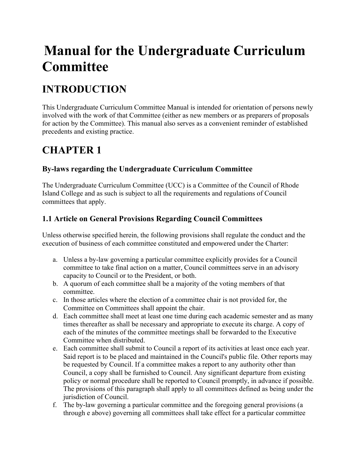# **Manual for the Undergraduate Curriculum Committee**

# **INTRODUCTION**

This Undergraduate Curriculum Committee Manual is intended for orientation of persons newly involved with the work of that Committee (either as new members or as preparers of proposals for action by the Committee). This manual also serves as a convenient reminder of established precedents and existing practice.

# **CHAPTER 1**

# **By-laws regarding the Undergraduate Curriculum Committee**

The Undergraduate Curriculum Committee (UCC) is a Committee of the Council of Rhode Island College and as such is subject to all the requirements and regulations of Council committees that apply.

# **1.1 Article on General Provisions Regarding Council Committees**

Unless otherwise specified herein, the following provisions shall regulate the conduct and the execution of business of each committee constituted and empowered under the Charter:

- a. Unless a by-law governing a particular committee explicitly provides for a Council committee to take final action on a matter, Council committees serve in an advisory capacity to Council or to the President, or both.
- b. A quorum of each committee shall be a majority of the voting members of that committee.
- c. In those articles where the election of a committee chair is not provided for, the Committee on Committees shall appoint the chair.
- d. Each committee shall meet at least one time during each academic semester and as many times thereafter as shall be necessary and appropriate to execute its charge. A copy of each of the minutes of the committee meetings shall be forwarded to the Executive Committee when distributed.
- e. Each committee shall submit to Council a report of its activities at least once each year. Said report is to be placed and maintained in the Council's public file. Other reports may be requested by Council. If a committee makes a report to any authority other than Council, a copy shall be furnished to Council. Any significant departure from existing policy or normal procedure shall be reported to Council promptly, in advance if possible. The provisions of this paragraph shall apply to all committees defined as being under the jurisdiction of Council.
- f. The by-law governing a particular committee and the foregoing general provisions (a through e above) governing all committees shall take effect for a particular committee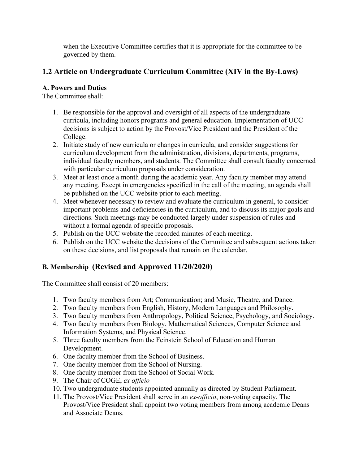when the Executive Committee certifies that it is appropriate for the committee to be governed by them.

# **1.2 Article on Undergraduate Curriculum Committee (XIV in the By-Laws)**

## **A. Powers and Duties**

The Committee shall:

- 1. Be responsible for the approval and oversight of all aspects of the undergraduate curricula, including honors programs and general education. Implementation of UCC decisions is subject to action by the Provost/Vice President and the President of the College.
- 2. Initiate study of new curricula or changes in curricula, and consider suggestions for curriculum development from the administration, divisions, departments, programs, individual faculty members, and students. The Committee shall consult faculty concerned with particular curriculum proposals under consideration.
- 3. Meet at least once a month during the academic year. Any faculty member may attend any meeting. Except in emergencies specified in the call of the meeting, an agenda shall be published on the UCC website prior to each meeting.
- 4. Meet whenever necessary to review and evaluate the curriculum in general, to consider important problems and deficiencies in the curriculum, and to discuss its major goals and directions. Such meetings may be conducted largely under suspension of rules and without a formal agenda of specific proposals.
- 5. Publish on the UCC website the recorded minutes of each meeting.
- 6. Publish on the UCC website the decisions of the Committee and subsequent actions taken on these decisions, and list proposals that remain on the calendar.

# **B. Membership (Revised and Approved 11/20/2020)**

The Committee shall consist of 20 members:

- 1. Two faculty members from Art; Communication; and Music, Theatre, and Dance.
- 2. Two faculty members from English, History, Modern Languages and Philosophy.
- 3. Two faculty members from Anthropology, Political Science, Psychology, and Sociology.
- 4. Two faculty members from Biology, Mathematical Sciences, Computer Science and Information Systems, and Physical Science.
- 5. Three faculty members from the Feinstein School of Education and Human Development.
- 6. One faculty member from the School of Business.
- 7. One faculty member from the School of Nursing.
- 8. One faculty member from the School of Social Work.
- 9. The Chair of COGE, *ex officio*
- 10. Two undergraduate students appointed annually as directed by Student Parliament.
- 11. The Provost/Vice President shall serve in an *ex-officio*, non-voting capacity. The Provost/Vice President shall appoint two voting members from among academic Deans and Associate Deans.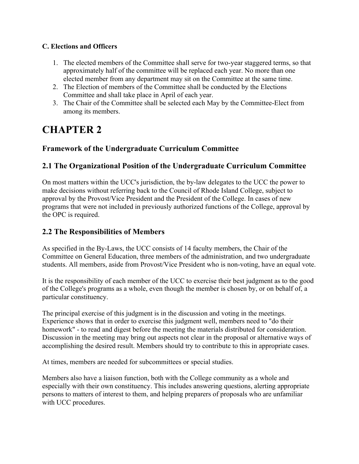## **C. Elections and Officers**

- 1. The elected members of the Committee shall serve for two-year staggered terms, so that approximately half of the committee will be replaced each year. No more than one elected member from any department may sit on the Committee at the same time.
- 2. The Election of members of the Committee shall be conducted by the Elections Committee and shall take place in April of each year.
- 3. The Chair of the Committee shall be selected each May by the Committee-Elect from among its members.

# **CHAPTER 2**

## **Framework of the Undergraduate Curriculum Committee**

## **2.1 The Organizational Position of the Undergraduate Curriculum Committee**

On most matters within the UCC's jurisdiction, the by-law delegates to the UCC the power to make decisions without referring back to the Council of Rhode Island College, subject to approval by the Provost/Vice President and the President of the College. In cases of new programs that were not included in previously authorized functions of the College, approval by the OPC is required.

## **2.2 The Responsibilities of Members**

As specified in the By-Laws, the UCC consists of 14 faculty members, the Chair of the Committee on General Education, three members of the administration, and two undergraduate students. All members, aside from Provost/Vice President who is non-voting, have an equal vote.

It is the responsibility of each member of the UCC to exercise their best judgment as to the good of the College's programs as a whole, even though the member is chosen by, or on behalf of, a particular constituency.

The principal exercise of this judgment is in the discussion and voting in the meetings. Experience shows that in order to exercise this judgment well, members need to "do their homework" - to read and digest before the meeting the materials distributed for consideration. Discussion in the meeting may bring out aspects not clear in the proposal or alternative ways of accomplishing the desired result. Members should try to contribute to this in appropriate cases.

At times, members are needed for subcommittees or special studies.

Members also have a liaison function, both with the College community as a whole and especially with their own constituency. This includes answering questions, alerting appropriate persons to matters of interest to them, and helping preparers of proposals who are unfamiliar with UCC procedures.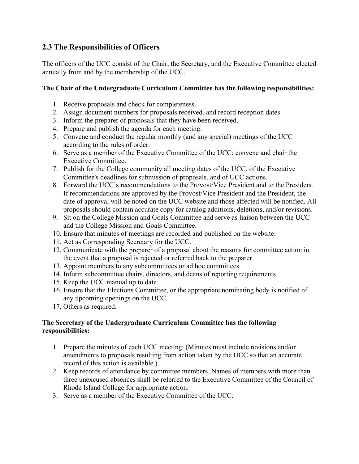## **2.3 The Responsibilities of Officers**

The officers of the UCC consist of the Chair, the Secretary, and the Executive Committee elected annually from and by the membership of the UCC.

## **The Chair of the Undergraduate Curriculum Committee has the following responsibilities:**

- 1. Receive proposals and check for completeness.
- 2. Assign document numbers for proposals received, and record reception dates
- 3. Inform the preparer of proposals that they have been received.
- 4. Prepare and publish the agenda for each meeting.
- 5. Convene and conduct the regular monthly (and any special) meetings of the UCC according to the rules of order.
- 6. Serve as a member of the Executive Committee of the UCC; convene and chair the Executive Committee.
- 7. Publish for the College community all meeting dates of the UCC, of the Executive Committee's deadlines for submission of proposals, and of UCC actions.
- 8. Forward the UCC's recommendations to the Provost/Vice President and to the President. If recommendations are approved by the Provost/Vice President and the President, the date of approval will be noted on the UCC website and those affected will be notified. All proposals should contain accurate copy for catalog additions, deletions, and/or revisions.
- 9. Sit on the College Mission and Goals Committee and serve as liaison between the UCC and the College Mission and Goals Committee.
- 10. Ensure that minutes of meetings are recorded and published on the website.
- 11. Act as Corresponding Secretary for the UCC.
- 12. Communicate with the preparer of a proposal about the reasons for committee action in the event that a proposal is rejected or referred back to the preparer.
- 13. Appoint members to any subcommittees or ad hoc committees.
- 14. Inform subcommittee chairs, directors, and deans of reporting requirements.
- 15. Keep the UCC manual up to date.
- 16. Ensure that the Elections Committee, or the appropriate nominating body is notified of any upcoming openings on the UCC.
- 17. Others as required.

### **The Secretary of the Undergraduate Curriculum Committee has the following responsibilities:**

- 1. Prepare the minutes of each UCC meeting. (Minutes must include revisions and/or amendments to proposals resulting from action taken by the UCC so that an accurate record of this action is available.)
- 2. Keep records of attendance by committee members. Names of members with more than three unexcused absences shall be referred to the Executive Committee of the Council of Rhode Island College for appropriate action.
- 3. Serve as a member of the Executive Committee of the UCC.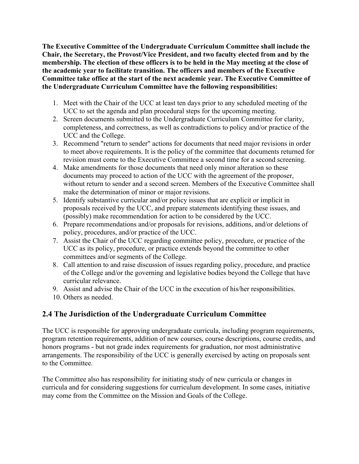**The Executive Committee of the Undergraduate Curriculum Committee shall include the Chair, the Secretary, the Provost/Vice President, and two faculty elected from and by the membership. The election of these officers is to be held in the May meeting at the close of the academic year to facilitate transition. The officers and members of the Executive Committee take office at the start of the next academic year. The Executive Committee of the Undergraduate Curriculum Committee have the following responsibilities:**

- 1. Meet with the Chair of the UCC at least ten days prior to any scheduled meeting of the UCC to set the agenda and plan procedural steps for the upcoming meeting.
- 2. Screen documents submitted to the Undergraduate Curriculum Committee for clarity, completeness, and correctness, as well as contradictions to policy and/or practice of the UCC and the College.
- 3. Recommend "return to sender" actions for documents that need major revisions in order to meet above requirements. It is the policy of the committee that documents returned for revision must come to the Executive Committee a second time for a second screening.
- 4. Make amendments for those documents that need only minor alteration so these documents may proceed to action of the UCC with the agreement of the proposer, without return to sender and a second screen. Members of the Executive Committee shall make the determination of minor or major revisions.
- 5. Identify substantive curricular and/or policy issues that are explicit or implicit in proposals received by the UCC, and prepare statements identifying these issues, and (possibly) make recommendation for action to be considered by the UCC.
- 6. Prepare recommendations and/or proposals for revisions, additions, and/or deletions of policy, procedures, and/or practice of the UCC.
- 7. Assist the Chair of the UCC regarding committee policy, procedure, or practice of the UCC as its policy, procedure, or practice extends beyond the committee to other committees and/or segments of the College.
- 8. Call attention to and raise discussion of issues regarding policy, procedure, and practice of the College and/or the governing and legislative bodies beyond the College that have curricular relevance.
- 9. Assist and advise the Chair of the UCC in the execution of his/her responsibilities.
- 10. Others as needed.

## **2.4 The Jurisdiction of the Undergraduate Curriculum Committee**

The UCC is responsible for approving undergraduate curricula, including program requirements, program retention requirements, addition of new courses, course descriptions, course credits, and honors programs - but not grade index requirements for graduation, nor most administrative arrangements. The responsibility of the UCC is generally exercised by acting on proposals sent to the Committee.

The Committee also has responsibility for initiating study of new curricula or changes in curricula and for considering suggestions for curriculum development. In some cases, initiative may come from the Committee on the Mission and Goals of the College.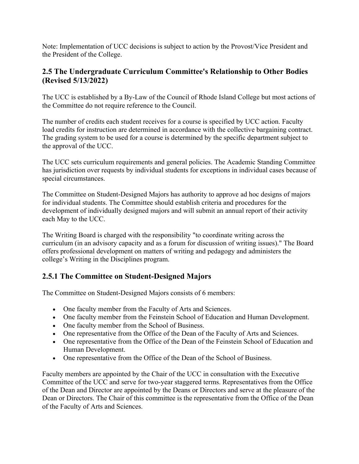Note: Implementation of UCC decisions is subject to action by the Provost/Vice President and the President of the College.

## **2.5 The Undergraduate Curriculum Committee's Relationship to Other Bodies (Revised 5/13/2022)**

The UCC is established by a By-Law of the Council of Rhode Island College but most actions of the Committee do not require reference to the Council.

The number of credits each student receives for a course is specified by UCC action. Faculty load credits for instruction are determined in accordance with the collective bargaining contract. The grading system to be used for a course is determined by the specific department subject to the approval of the UCC.

The UCC sets curriculum requirements and general policies. The Academic Standing Committee has jurisdiction over requests by individual students for exceptions in individual cases because of special circumstances.

The Committee on Student-Designed Majors has authority to approve ad hoc designs of majors for individual students. The Committee should establish criteria and procedures for the development of individually designed majors and will submit an annual report of their activity each May to the UCC.

The Writing Board is charged with the responsibility "to coordinate writing across the curriculum (in an advisory capacity and as a forum for discussion of writing issues)." The Board offers professional development on matters of writing and pedagogy and administers the college's Writing in the Disciplines program.

# **2.5.1 The Committee on Student-Designed Majors**

The Committee on Student-Designed Majors consists of 6 members:

- One faculty member from the Faculty of Arts and Sciences.
- One faculty member from the Feinstein School of Education and Human Development.
- One faculty member from the School of Business.
- One representative from the Office of the Dean of the Faculty of Arts and Sciences.
- One representative from the Office of the Dean of the Feinstein School of Education and Human Development.
- One representative from the Office of the Dean of the School of Business.

Faculty members are appointed by the Chair of the UCC in consultation with the Executive Committee of the UCC and serve for two-year staggered terms. Representatives from the Office of the Dean and Director are appointed by the Deans or Directors and serve at the pleasure of the Dean or Directors. The Chair of this committee is the representative from the Office of the Dean of the Faculty of Arts and Sciences.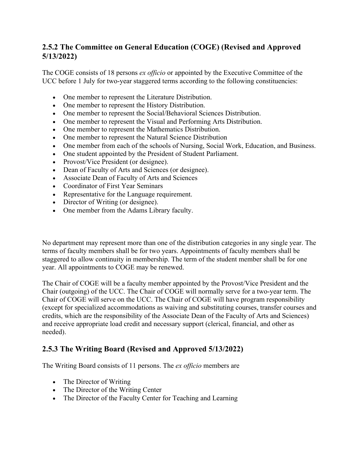## **2.5.2 The Committee on General Education (COGE) (Revised and Approved 5/13/2022)**

The COGE consists of 18 persons *ex officio* or appointed by the Executive Committee of the UCC before 1 July for two-year staggered terms according to the following constituencies:

- One member to represent the Literature Distribution.
- One member to represent the History Distribution.
- One member to represent the Social/Behavioral Sciences Distribution.
- One member to represent the Visual and Performing Arts Distribution.
- One member to represent the Mathematics Distribution.
- One member to represent the Natural Science Distribution
- One member from each of the schools of Nursing, Social Work, Education, and Business.
- One student appointed by the President of Student Parliament.
- Provost/Vice President (or designee).
- Dean of Faculty of Arts and Sciences (or designee).
- Associate Dean of Faculty of Arts and Sciences
- Coordinator of First Year Seminars
- Representative for the Language requirement.
- Director of Writing (or designee).
- One member from the Adams Library faculty.

No department may represent more than one of the distribution categories in any single year. The terms of faculty members shall be for two years. Appointments of faculty members shall be staggered to allow continuity in membership. The term of the student member shall be for one year. All appointments to COGE may be renewed.

The Chair of COGE will be a faculty member appointed by the Provost/Vice President and the Chair (outgoing) of the UCC. The Chair of COGE will normally serve for a two-year term. The Chair of COGE will serve on the UCC. The Chair of COGE will have program responsibility (except for specialized accommodations as waiving and substituting courses, transfer courses and credits, which are the responsibility of the Associate Dean of the Faculty of Arts and Sciences) and receive appropriate load credit and necessary support (clerical, financial, and other as needed).

# **2.5.3 The Writing Board (Revised and Approved 5/13/2022)**

The Writing Board consists of 11 persons. The *ex officio* members are

- The Director of Writing
- The Director of the Writing Center
- The Director of the Faculty Center for Teaching and Learning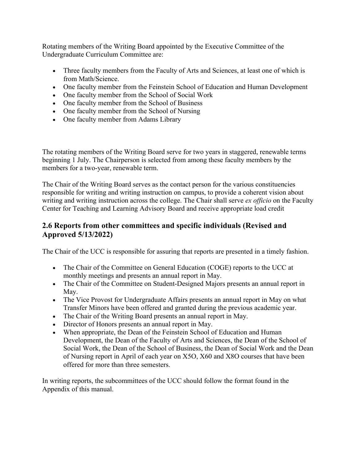Rotating members of the Writing Board appointed by the Executive Committee of the Undergraduate Curriculum Committee are:

- Three faculty members from the Faculty of Arts and Sciences, at least one of which is from Math/Science.
- One faculty member from the Feinstein School of Education and Human Development
- One faculty member from the School of Social Work
- One faculty member from the School of Business
- One faculty member from the School of Nursing
- One faculty member from Adams Library

The rotating members of the Writing Board serve for two years in staggered, renewable terms beginning 1 July. The Chairperson is selected from among these faculty members by the members for a two-year, renewable term.

The Chair of the Writing Board serves as the contact person for the various constituencies responsible for writing and writing instruction on campus, to provide a coherent vision about writing and writing instruction across the college. The Chair shall serve *ex officio* on the Faculty Center for Teaching and Learning Advisory Board and receive appropriate load credit

## **2.6 Reports from other committees and specific individuals (Revised and Approved 5/13/2022)**

The Chair of the UCC is responsible for assuring that reports are presented in a timely fashion.

- The Chair of the Committee on General Education (COGE) reports to the UCC at monthly meetings and presents an annual report in May.
- The Chair of the Committee on Student-Designed Majors presents an annual report in May.
- The Vice Provost for Undergraduate Affairs presents an annual report in May on what Transfer Minors have been offered and granted during the previous academic year.
- The Chair of the Writing Board presents an annual report in May.
- Director of Honors presents an annual report in May.
- When appropriate, the Dean of the Feinstein School of Education and Human Development, the Dean of the Faculty of Arts and Sciences, the Dean of the School of Social Work, the Dean of the School of Business, the Dean of Social Work and the Dean of Nursing report in April of each year on X5O, X60 and X8O courses that have been offered for more than three semesters.

In writing reports, the subcommittees of the UCC should follow the format found in the Appendix of this manual.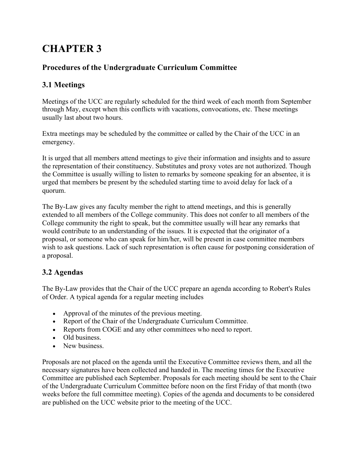# **CHAPTER 3**

# **Procedures of the Undergraduate Curriculum Committee**

# **3.1 Meetings**

Meetings of the UCC are regularly scheduled for the third week of each month from September through May, except when this conflicts with vacations, convocations, etc. These meetings usually last about two hours.

Extra meetings may be scheduled by the committee or called by the Chair of the UCC in an emergency.

It is urged that all members attend meetings to give their information and insights and to assure the representation of their constituency. Substitutes and proxy votes are not authorized. Though the Committee is usually willing to listen to remarks by someone speaking for an absentee, it is urged that members be present by the scheduled starting time to avoid delay for lack of a quorum.

The By-Law gives any faculty member the right to attend meetings, and this is generally extended to all members of the College community. This does not confer to all members of the College community the right to speak, but the committee usually will hear any remarks that would contribute to an understanding of the issues. It is expected that the originator of a proposal, or someone who can speak for him/her, will be present in case committee members wish to ask questions. Lack of such representation is often cause for postponing consideration of a proposal.

# **3.2 Agendas**

The By-Law provides that the Chair of the UCC prepare an agenda according to Robert's Rules of Order. A typical agenda for a regular meeting includes

- Approval of the minutes of the previous meeting.
- Report of the Chair of the Undergraduate Curriculum Committee.
- Reports from COGE and any other committees who need to report.
- Old business.
- New business.

Proposals are not placed on the agenda until the Executive Committee reviews them, and all the necessary signatures have been collected and handed in. The meeting times for the Executive Committee are published each September. Proposals for each meeting should be sent to the Chair of the Undergraduate Curriculum Committee before noon on the first Friday of that month (two weeks before the full committee meeting). Copies of the agenda and documents to be considered are published on the UCC website prior to the meeting of the UCC.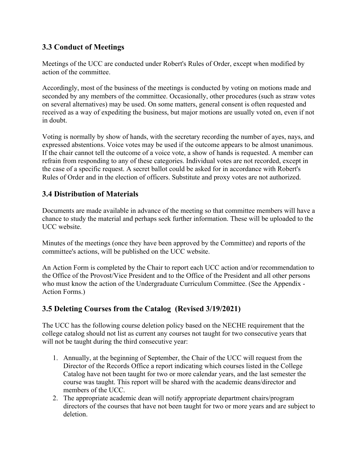## **3.3 Conduct of Meetings**

Meetings of the UCC are conducted under Robert's Rules of Order, except when modified by action of the committee.

Accordingly, most of the business of the meetings is conducted by voting on motions made and seconded by any members of the committee. Occasionally, other procedures (such as straw votes on several alternatives) may be used. On some matters, general consent is often requested and received as a way of expediting the business, but major motions are usually voted on, even if not in doubt.

Voting is normally by show of hands, with the secretary recording the number of ayes, nays, and expressed abstentions. Voice votes may be used if the outcome appears to be almost unanimous. If the chair cannot tell the outcome of a voice vote, a show of hands is requested. A member can refrain from responding to any of these categories. Individual votes are not recorded, except in the case of a specific request. A secret ballot could be asked for in accordance with Robert's Rules of Order and in the election of officers. Substitute and proxy votes are not authorized.

## **3.4 Distribution of Materials**

Documents are made available in advance of the meeting so that committee members will have a chance to study the material and perhaps seek further information. These will be uploaded to the UCC website.

Minutes of the meetings (once they have been approved by the Committee) and reports of the committee's actions, will be published on the UCC website.

An Action Form is completed by the Chair to report each UCC action and/or recommendation to the Office of the Provost/Vice President and to the Office of the President and all other persons who must know the action of the Undergraduate Curriculum Committee. (See the Appendix - Action Forms.)

## **3.5 Deleting Courses from the Catalog (Revised 3/19/2021)**

The UCC has the following course deletion policy based on the NECHE requirement that the college catalog should not list as current any courses not taught for two consecutive years that will not be taught during the third consecutive year:

- 1. Annually, at the beginning of September, the Chair of the UCC will request from the Director of the Records Office a report indicating which courses listed in the College Catalog have not been taught for two or more calendar years, and the last semester the course was taught. This report will be shared with the academic deans/director and members of the UCC.
- 2. The appropriate academic dean will notify appropriate department chairs/program directors of the courses that have not been taught for two or more years and are subject to deletion.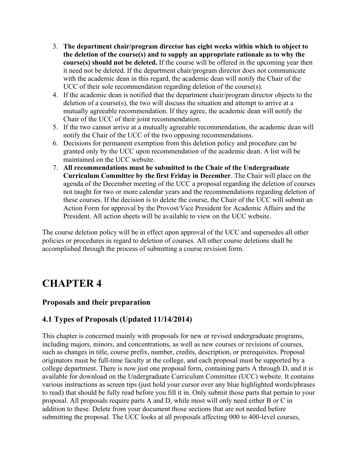- 3. **The department chair/program director has eight weeks within which to object to the deletion of the course(s) and to supply an appropriate rationale as to why the course(s) should not be deleted.** If the course will be offered in the upcoming year then it need not be deleted. If the department chair/program director does not communicate with the academic dean in this regard, the academic dean will notify the Chair of the UCC of their sole recommendation regarding deletion of the course(s).
- 4. If the academic dean is notified that the department chair/program director objects to the deletion of a course(s), the two will discuss the situation and attempt to arrive at a mutually agreeable recommendation. If they agree, the academic dean will notify the Chair of the UCC of their joint recommendation.
- 5. If the two cannot arrive at a mutually agreeable recommendation, the academic dean will notify the Chair of the UCC of the two opposing recommendations.
- 6. Decisions for permanent exemption from this deletion policy and procedure can be granted only by the UCC upon recommendation of the academic dean. A list will be maintained on the UCC website.
- 7. **All recommendations must be submitted to the Chair of the Undergraduate Curriculum Committee by the first Friday in December**. The Chair will place on the agenda of the December meeting of the UCC a proposal regarding the deletion of courses not taught for two or more calendar years and the recommendations regarding deletion of these courses. If the decision is to delete the course, the Chair of the UCC will submit an Action Form for approval by the Provost/Vice President for Academic Affairs and the President. All action sheets will be available to view on the UCC website.

The course deletion policy will be in effect upon approval of the UCC and supersedes all other policies or procedures in regard to deletion of courses. All other course deletions shall be accomplished through the process of submitting a course revision form.

# **CHAPTER 4**

## **Proposals and their preparation**

## **4.1 Types of Proposals (Updated 11/14/2014)**

This chapter is concerned mainly with proposals for new or revised undergraduate programs, including majors, minors, and concentrations, as well as new courses or revisions of courses, such as changes in title, course prefix, number, credits, description, or prerequisites. Proposal originators must be full-time faculty at the college, and each proposal must be supported by a college department. There is now just one proposal form, containing parts A through D, and it is available for download on the Undergraduate Curriculum Committee (UCC) website. It contains various instructions as screen tips (just hold your cursor over any blue highlighted words/phrases to read) that should be fully read before you fill it in. Only submit those parts that pertain to your proposal. All proposals require parts A and D, while most will only need either B or C in addition to these. Delete from your document those sections that are not needed before submitting the proposal. The UCC looks at all proposals affecting 000 to 400-level courses,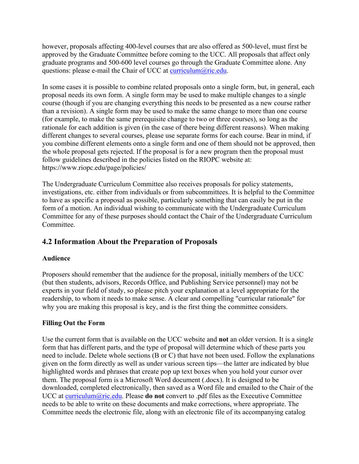however, proposals affecting 400-level courses that are also offered as 500-level, must first be approved by the Graduate Committee before coming to the UCC. All proposals that affect only graduate programs and 500-600 level courses go through the Graduate Committee alone. Any questions: please e-mail the Chair of UCC at curriculum@ric.edu.

In some cases it is possible to combine related proposals onto a single form, but, in general, each proposal needs its own form. A single form may be used to make multiple changes to a single course (though if you are changing everything this needs to be presented as a new course rather than a revision). A single form may be used to make the same change to more than one course (for example, to make the same prerequisite change to two or three courses), so long as the rationale for each addition is given (in the case of there being different reasons). When making different changes to several courses, please use separate forms for each course. Bear in mind, if you combine different elements onto a single form and one of them should not be approved, then the whole proposal gets rejected. If the proposal is for a new program then the proposal must follow guidelines described in the policies listed on the RIOPC website at: https://www.riopc.edu/page/policies/

The Undergraduate Curriculum Committee also receives proposals for policy statements, investigations, etc. either from individuals or from subcommittees. It is helpful to the Committee to have as specific a proposal as possible, particularly something that can easily be put in the form of a motion. An individual wishing to communicate with the Undergraduate Curriculum Committee for any of these purposes should contact the Chair of the Undergraduate Curriculum Committee.

## **4.2 Information About the Preparation of Proposals**

### **Audience**

Proposers should remember that the audience for the proposal, initially members of the UCC (but then students, advisors, Records Office, and Publishing Service personnel) may not be experts in your field of study, so please pitch your explanation at a level appropriate for the readership, to whom it needs to make sense. A clear and compelling "curricular rationale" for why you are making this proposal is key, and is the first thing the committee considers.

### **Filling Out the Form**

Use the current form that is available on the UCC website and **not** an older version. It is a single form that has different parts, and the type of proposal will determine which of these parts you need to include. Delete whole sections (B or C) that have not been used. Follow the explanations given on the form directly as well as under various screen tips—the latter are indicated by blue highlighted words and phrases that create pop up text boxes when you hold your cursor over them. The proposal form is a Microsoft Word document (.docx). It is designed to be downloaded, completed electronically, then saved as a Word file and emailed to the Chair of the UCC at curriculum@ric.edu. Please **do not** convert to .pdf files as the Executive Committee needs to be able to write on these documents and make corrections, where appropriate. The Committee needs the electronic file, along with an electronic file of its accompanying catalog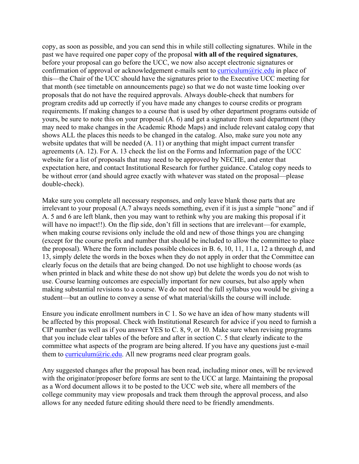copy, as soon as possible, and you can send this in while still collecting signatures. While in the past we have required one paper copy of the proposal **with all of the required signatures**, before your proposal can go before the UCC, we now also accept electronic signatures or confirmation of approval or acknowledgement e-mails sent to curriculum $@$ ric.edu in place of this—the Chair of the UCC should have the signatures prior to the Executive UCC meeting for that month (see timetable on announcements page) so that we do not waste time looking over proposals that do not have the required approvals. Always double-check that numbers for program credits add up correctly if you have made any changes to course credits or program requirements. If making changes to a course that is used by other department programs outside of yours, be sure to note this on your proposal (A. 6) and get a signature from said department (they may need to make changes in the Academic Rhode Maps) and include relevant catalog copy that shows ALL the places this needs to be changed in the catalog. Also, make sure you note any website updates that will be needed (A. 11) or anything that might impact current transfer agreements (A. 12). For A. 13 check the list on the Forms and Information page of the UCC website for a list of proposals that may need to be approved by NECHE, and enter that expectation here, and contact Institutional Research for further guidance. Catalog copy needs to be without error (and should agree exactly with whatever was stated on the proposal—please double-check).

Make sure you complete all necessary responses, and only leave blank those parts that are irrelevant to your proposal (A.7 always needs something, even if it is just a simple "none" and if A. 5 and 6 are left blank, then you may want to rethink why you are making this proposal if it will have no impact!!). On the flip side, don't fill in sections that are irrelevant—for example, when making course revisions only include the old and new of those things you are changing (except for the course prefix and number that should be included to allow the committee to place the proposal). Where the form includes possible choices in B. 6, 10, 11, 11.a, 12 a through d, and 13, simply delete the words in the boxes when they do not apply in order that the Committee can clearly focus on the details that are being changed. Do not use highlight to choose words (as when printed in black and white these do not show up) but delete the words you do not wish to use. Course learning outcomes are especially important for new courses, but also apply when making substantial revisions to a course. We do not need the full syllabus you would be giving a student—but an outline to convey a sense of what material/skills the course will include.

Ensure you indicate enrollment numbers in C 1. So we have an idea of how many students will be affected by this proposal. Check with Institutional Research for advice if you need to furnish a CIP number (as well as if you answer YES to C. 8, 9, or 10. Make sure when revising programs that you include clear tables of the before and after in section C. 5 that clearly indicate to the committee what aspects of the program are being altered. If you have any questions just e-mail them to curriculum  $\omega$ ric.edu. All new programs need clear program goals.

Any suggested changes after the proposal has been read, including minor ones, will be reviewed with the originator/proposer before forms are sent to the UCC at large. Maintaining the proposal as a Word document allows it to be posted to the UCC web site, where all members of the college community may view proposals and track them through the approval process, and also allows for any needed future editing should there need to be friendly amendments.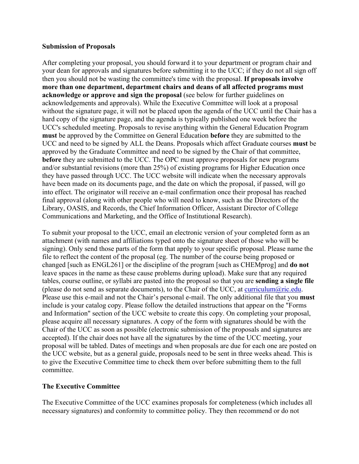#### **Submission of Proposals**

After completing your proposal, you should forward it to your department or program chair and your dean for approvals and signatures before submitting it to the UCC; if they do not all sign off then you should not be wasting the committee's time with the proposal. **If proposals involve more than one department, department chairs and deans of all affected programs must acknowledge or approve and sign the proposal** (see below for further guidelines on acknowledgements and approvals). While the Executive Committee will look at a proposal without the signature page, it will not be placed upon the agenda of the UCC until the Chair has a hard copy of the signature page, and the agenda is typically published one week before the UCC's scheduled meeting. Proposals to revise anything within the General Education Program **must** be approved by the Committee on General Education **before** they are submitted to the UCC and need to be signed by ALL the Deans. Proposals which affect Graduate courses **must** be approved by the Graduate Committee and need to be signed by the Chair of that committee, **before** they are submitted to the UCC. The OPC must approve proposals for new programs and/or substantial revisions (more than 25%) of existing programs for Higher Education once they have passed through UCC. The UCC website will indicate when the necessary approvals have been made on its documents page, and the date on which the proposal, if passed, will go into effect. The originator will receive an e-mail confirmation once their proposal has reached final approval (along with other people who will need to know, such as the Directors of the Library, OASIS, and Records, the Chief Information Officer, Assistant Director of College Communications and Marketing, and the Office of Institutional Research).

To submit your proposal to the UCC, email an electronic version of your completed form as an attachment (with names and affiliations typed onto the signature sheet of those who will be signing). Only send those parts of the form that apply to your specific proposal. Please name the file to reflect the content of the proposal (eg. The number of the course being proposed or changed [such as ENGL261] or the discipline of the program [such as CHEMprog] and **do not** leave spaces in the name as these cause problems during upload). Make sure that any required tables, course outline, or syllabi are pasted into the proposal so that you are **sending a single file** (please do not send as separate documents), to the Chair of the UCC, at curriculum@ric.edu. Please use this e-mail and not the Chair's personal e-mail. The only additional file that you **must** include is your catalog copy. Please follow the detailed instructions that appear on the "Forms and Information" section of the UCC website to create this copy. On completing your proposal, please acquire all necessary signatures. A copy of the form with signatures should be with the Chair of the UCC as soon as possible (electronic submission of the proposals and signatures are accepted). If the chair does not have all the signatures by the time of the UCC meeting, your proposal will be tabled. Dates of meetings and when proposals are due for each one are posted on the UCC website, but as a general guide, proposals need to be sent in three weeks ahead. This is to give the Executive Committee time to check them over before submitting them to the full committee.

### **The Executive Committee**

The Executive Committee of the UCC examines proposals for completeness (which includes all necessary signatures) and conformity to committee policy. They then recommend or do not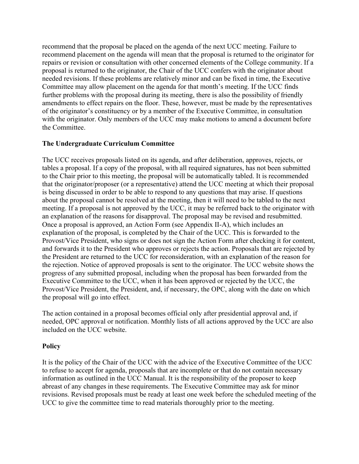recommend that the proposal be placed on the agenda of the next UCC meeting. Failure to recommend placement on the agenda will mean that the proposal is returned to the originator for repairs or revision or consultation with other concerned elements of the College community. If a proposal is returned to the originator, the Chair of the UCC confers with the originator about needed revisions. If these problems are relatively minor and can be fixed in time, the Executive Committee may allow placement on the agenda for that month's meeting. If the UCC finds further problems with the proposal during its meeting, there is also the possibility of friendly amendments to effect repairs on the floor. These, however, must be made by the representatives of the originator's constituency or by a member of the Executive Committee, in consultation with the originator. Only members of the UCC may make motions to amend a document before the Committee.

#### **The Undergraduate Curriculum Committee**

The UCC receives proposals listed on its agenda, and after deliberation, approves, rejects, or tables a proposal. If a copy of the proposal, with all required signatures, has not been submitted to the Chair prior to this meeting, the proposal will be automatically tabled. It is recommended that the originator/proposer (or a representative) attend the UCC meeting at which their proposal is being discussed in order to be able to respond to any questions that may arise. If questions about the proposal cannot be resolved at the meeting, then it will need to be tabled to the next meeting. If a proposal is not approved by the UCC, it may be referred back to the originator with an explanation of the reasons for disapproval. The proposal may be revised and resubmitted. Once a proposal is approved, an Action Form (see Appendix II-A), which includes an explanation of the proposal, is completed by the Chair of the UCC. This is forwarded to the Provost/Vice President, who signs or does not sign the Action Form after checking it for content, and forwards it to the President who approves or rejects the action. Proposals that are rejected by the President are returned to the UCC for reconsideration, with an explanation of the reason for the rejection. Notice of approved proposals is sent to the originator. The UCC website shows the progress of any submitted proposal, including when the proposal has been forwarded from the Executive Committee to the UCC, when it has been approved or rejected by the UCC, the Provost/Vice President, the President, and, if necessary, the OPC, along with the date on which the proposal will go into effect.

The action contained in a proposal becomes official only after presidential approval and, if needed, OPC approval or notification. Monthly lists of all actions approved by the UCC are also included on the UCC website.

#### **Policy**

It is the policy of the Chair of the UCC with the advice of the Executive Committee of the UCC to refuse to accept for agenda, proposals that are incomplete or that do not contain necessary information as outlined in the UCC Manual. It is the responsibility of the proposer to keep abreast of any changes in these requirements. The Executive Committee may ask for minor revisions. Revised proposals must be ready at least one week before the scheduled meeting of the UCC to give the committee time to read materials thoroughly prior to the meeting.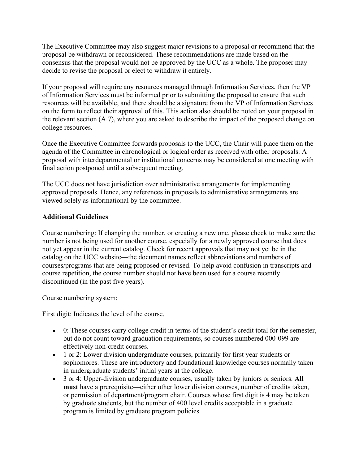The Executive Committee may also suggest major revisions to a proposal or recommend that the proposal be withdrawn or reconsidered. These recommendations are made based on the consensus that the proposal would not be approved by the UCC as a whole. The proposer may decide to revise the proposal or elect to withdraw it entirely.

If your proposal will require any resources managed through Information Services, then the VP of Information Services must be informed prior to submitting the proposal to ensure that such resources will be available, and there should be a signature from the VP of Information Services on the form to reflect their approval of this. This action also should be noted on your proposal in the relevant section (A.7), where you are asked to describe the impact of the proposed change on college resources.

Once the Executive Committee forwards proposals to the UCC, the Chair will place them on the agenda of the Committee in chronological or logical order as received with other proposals. A proposal with interdepartmental or institutional concerns may be considered at one meeting with final action postponed until a subsequent meeting.

The UCC does not have jurisdiction over administrative arrangements for implementing approved proposals. Hence, any references in proposals to administrative arrangements are viewed solely as informational by the committee.

### **Additional Guidelines**

Course numbering: If changing the number, or creating a new one, please check to make sure the number is not being used for another course, especially for a newly approved course that does not yet appear in the current catalog. Check for recent approvals that may not yet be in the catalog on the UCC website—the document names reflect abbreviations and numbers of courses/programs that are being proposed or revised. To help avoid confusion in transcripts and course repetition, the course number should not have been used for a course recently discontinued (in the past five years).

Course numbering system:

First digit: Indicates the level of the course.

- 0: These courses carry college credit in terms of the student's credit total for the semester, but do not count toward graduation requirements, so courses numbered 000-099 are effectively non-credit courses.
- 1 or 2: Lower division undergraduate courses, primarily for first year students or sophomores. These are introductory and foundational knowledge courses normally taken in undergraduate students' initial years at the college.
- 3 or 4: Upper-division undergraduate courses, usually taken by juniors or seniors. **All must** have a prerequisite—either other lower division courses, number of credits taken, or permission of department/program chair. Courses whose first digit is 4 may be taken by graduate students, but the number of 400 level credits acceptable in a graduate program is limited by graduate program policies.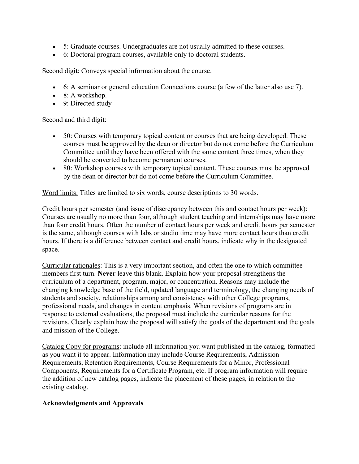- 5: Graduate courses. Undergraduates are not usually admitted to these courses.
- 6: Doctoral program courses, available only to doctoral students.

Second digit: Conveys special information about the course.

- 6: A seminar or general education Connections course (a few of the latter also use 7).
- $\bullet$  8: A workshop.
- 9: Directed study

Second and third digit:

- 50: Courses with temporary topical content or courses that are being developed. These courses must be approved by the dean or director but do not come before the Curriculum Committee until they have been offered with the same content three times, when they should be converted to become permanent courses.
- 80: Workshop courses with temporary topical content. These courses must be approved by the dean or director but do not come before the Curriculum Committee.

Word limits: Titles are limited to six words, course descriptions to 30 words.

Credit hours per semester (and issue of discrepancy between this and contact hours per week): Courses are usually no more than four, although student teaching and internships may have more than four credit hours. Often the number of contact hours per week and credit hours per semester is the same, although courses with labs or studio time may have more contact hours than credit hours. If there is a difference between contact and credit hours, indicate why in the designated space.

Curricular rationales: This is a very important section, and often the one to which committee members first turn. **Never** leave this blank. Explain how your proposal strengthens the curriculum of a department, program, major, or concentration. Reasons may include the changing knowledge base of the field, updated language and terminology, the changing needs of students and society, relationships among and consistency with other College programs, professional needs, and changes in content emphasis. When revisions of programs are in response to external evaluations, the proposal must include the curricular reasons for the revisions. Clearly explain how the proposal will satisfy the goals of the department and the goals and mission of the College.

Catalog Copy for programs: include all information you want published in the catalog, formatted as you want it to appear. Information may include Course Requirements, Admission Requirements, Retention Requirements, Course Requirements for a Minor, Professional Components, Requirements for a Certificate Program, etc. If program information will require the addition of new catalog pages, indicate the placement of these pages, in relation to the existing catalog.

### **Acknowledgments and Approvals**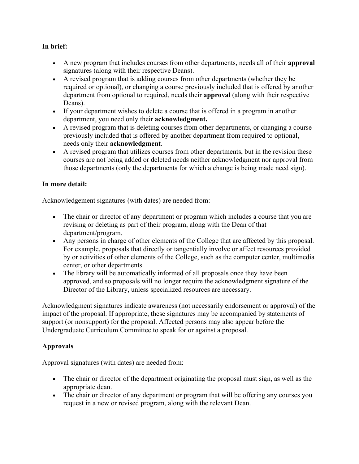## **In brief:**

- A new program that includes courses from other departments, needs all of their **approval** signatures (along with their respective Deans).
- A revised program that is adding courses from other departments (whether they be required or optional), or changing a course previously included that is offered by another department from optional to required, needs their **approval** (along with their respective Deans).
- If your department wishes to delete a course that is offered in a program in another department, you need only their **acknowledgment.**
- A revised program that is deleting courses from other departments, or changing a course previously included that is offered by another department from required to optional, needs only their **acknowledgment**.
- A revised program that utilizes courses from other departments, but in the revision these courses are not being added or deleted needs neither acknowledgment nor approval from those departments (only the departments for which a change is being made need sign).

### **In more detail:**

Acknowledgement signatures (with dates) are needed from:

- The chair or director of any department or program which includes a course that you are revising or deleting as part of their program, along with the Dean of that department/program.
- Any persons in charge of other elements of the College that are affected by this proposal. For example, proposals that directly or tangentially involve or affect resources provided by or activities of other elements of the College, such as the computer center, multimedia center, or other departments.
- The library will be automatically informed of all proposals once they have been approved, and so proposals will no longer require the acknowledgment signature of the Director of the Library, unless specialized resources are necessary.

Acknowledgment signatures indicate awareness (not necessarily endorsement or approval) of the impact of the proposal. If appropriate, these signatures may be accompanied by statements of support (or nonsupport) for the proposal. Affected persons may also appear before the Undergraduate Curriculum Committee to speak for or against a proposal.

## **Approvals**

Approval signatures (with dates) are needed from:

- The chair or director of the department originating the proposal must sign, as well as the appropriate dean.
- The chair or director of any department or program that will be offering any courses you request in a new or revised program, along with the relevant Dean.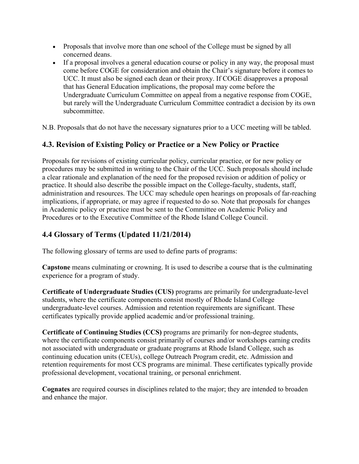- Proposals that involve more than one school of the College must be signed by all concerned deans.
- If a proposal involves a general education course or policy in any way, the proposal must come before COGE for consideration and obtain the Chair's signature before it comes to UCC. It must also be signed each dean or their proxy. If COGE disapproves a proposal that has General Education implications, the proposal may come before the Undergraduate Curriculum Committee on appeal from a negative response from COGE, but rarely will the Undergraduate Curriculum Committee contradict a decision by its own subcommittee.

N.B. Proposals that do not have the necessary signatures prior to a UCC meeting will be tabled.

# **4.3. Revision of Existing Policy or Practice or a New Policy or Practice**

Proposals for revisions of existing curricular policy, curricular practice, or for new policy or procedures may be submitted in writing to the Chair of the UCC. Such proposals should include a clear rationale and explanation of the need for the proposed revision or addition of policy or practice. It should also describe the possible impact on the College-faculty, students, staff, administration and resources. The UCC may schedule open hearings on proposals of far-reaching implications, if appropriate, or may agree if requested to do so. Note that proposals for changes in Academic policy or practice must be sent to the Committee on Academic Policy and Procedures or to the Executive Committee of the Rhode Island College Council.

# **4.4 Glossary of Terms (Updated 11/21/2014)**

The following glossary of terms are used to define parts of programs:

**Capstone** means culminating or crowning. It is used to describe a course that is the culminating experience for a program of study.

**Certificate of Undergraduate Studies (CUS)** programs are primarily for undergraduate-level students, where the certificate components consist mostly of Rhode Island College undergraduate-level courses. Admission and retention requirements are significant. These certificates typically provide applied academic and/or professional training.

**Certificate of Continuing Studies (CCS)** programs are primarily for non-degree students, where the certificate components consist primarily of courses and/or workshops earning credits not associated with undergraduate or graduate programs at Rhode Island College, such as continuing education units (CEUs), college Outreach Program credit, etc. Admission and retention requirements for most CCS programs are minimal. These certificates typically provide professional development, vocational training, or personal enrichment.

**Cognates** are required courses in disciplines related to the major; they are intended to broaden and enhance the major.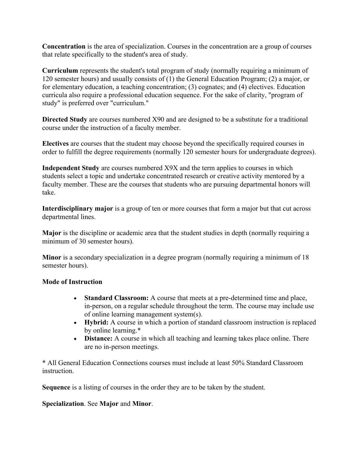**Concentration** is the area of specialization. Courses in the concentration are a group of courses that relate specifically to the student's area of study.

**Curriculum** represents the student's total program of study (normally requiring a minimum of 120 semester hours) and usually consists of (1) the General Education Program; (2) a major, or for elementary education, a teaching concentration; (3) cognates; and (4) electives. Education curricula also require a professional education sequence. For the sake of clarity, "program of study" is preferred over "curriculum."

**Directed Study** are courses numbered X90 and are designed to be a substitute for a traditional course under the instruction of a faculty member.

**Electives** are courses that the student may choose beyond the specifically required courses in order to fulfill the degree requirements (normally 120 semester hours for undergraduate degrees).

**Independent Study** are courses numbered X9X and the term applies to courses in which students select a topic and undertake concentrated research or creative activity mentored by a faculty member. These are the courses that students who are pursuing departmental honors will take.

**Interdisciplinary major** is a group of ten or more courses that form a major but that cut across departmental lines.

**Major** is the discipline or academic area that the student studies in depth (normally requiring a minimum of 30 semester hours).

**Minor** is a secondary specialization in a degree program (normally requiring a minimum of 18 semester hours).

#### **Mode of Instruction**

- **Standard Classroom:** A course that meets at a pre-determined time and place, in-person, on a regular schedule throughout the term. The course may include use of online learning management system(s).
- **Hybrid:** A course in which a portion of standard classroom instruction is replaced by online learning.\*
- **Distance:** A course in which all teaching and learning takes place online. There are no in-person meetings.

\* All General Education Connections courses must include at least 50% Standard Classroom instruction.

**Sequence** is a listing of courses in the order they are to be taken by the student.

### **Specialization**. See **Major** and **Minor**.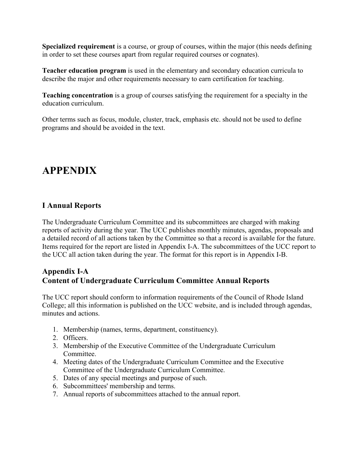**Specialized requirement** is a course, or group of courses, within the major (this needs defining in order to set these courses apart from regular required courses or cognates).

**Teacher education program** is used in the elementary and secondary education curricula to describe the major and other requirements necessary to earn certification for teaching.

**Teaching concentration** is a group of courses satisfying the requirement for a specialty in the education curriculum.

Other terms such as focus, module, cluster, track, emphasis etc. should not be used to define programs and should be avoided in the text.

# **APPENDIX**

## **I Annual Reports**

The Undergraduate Curriculum Committee and its subcommittees are charged with making reports of activity during the year. The UCC publishes monthly minutes, agendas, proposals and a detailed record of all actions taken by the Committee so that a record is available for the future. Items required for the report are listed in Appendix I-A. The subcommittees of the UCC report to the UCC all action taken during the year. The format for this report is in Appendix I-B.

## **Appendix I-A Content of Undergraduate Curriculum Committee Annual Reports**

The UCC report should conform to information requirements of the Council of Rhode Island College; all this information is published on the UCC website, and is included through agendas, minutes and actions.

- 1. Membership (names, terms, department, constituency).
- 2. Officers.
- 3. Membership of the Executive Committee of the Undergraduate Curriculum Committee.
- 4. Meeting dates of the Undergraduate Curriculum Committee and the Executive Committee of the Undergraduate Curriculum Committee.
- 5. Dates of any special meetings and purpose of such.
- 6. Subcommittees' membership and terms.
- 7. Annual reports of subcommittees attached to the annual report.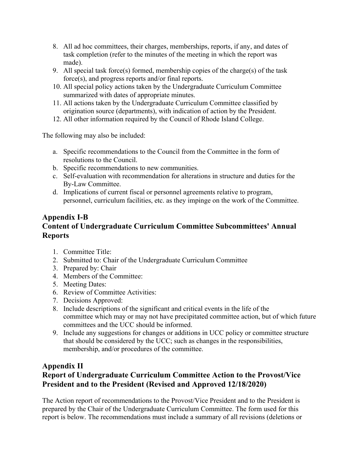- 8. All ad hoc committees, their charges, memberships, reports, if any, and dates of task completion (refer to the minutes of the meeting in which the report was made).
- 9. All special task force(s) formed, membership copies of the charge(s) of the task force(s), and progress reports and/or final reports.
- 10. All special policy actions taken by the Undergraduate Curriculum Committee summarized with dates of appropriate minutes.
- 11. All actions taken by the Undergraduate Curriculum Committee classified by origination source (departments), with indication of action by the President.
- 12. All other information required by the Council of Rhode Island College.

The following may also be included:

- a. Specific recommendations to the Council from the Committee in the form of resolutions to the Council.
- b. Specific recommendations to new communities.
- c. Self-evaluation with recommendation for alterations in structure and duties for the By-Law Committee.
- d. Implications of current fiscal or personnel agreements relative to program, personnel, curriculum facilities, etc. as they impinge on the work of the Committee.

# **Appendix I-B Content of Undergraduate Curriculum Committee Subcommittees' Annual Reports**

- 1. Committee Title:
- 2. Submitted to: Chair of the Undergraduate Curriculum Committee
- 3. Prepared by: Chair
- 4. Members of the Committee:
- 5. Meeting Dates:
- 6. Review of Committee Activities:
- 7. Decisions Approved:
- 8. Include descriptions of the significant and critical events in the life of the committee which may or may not have precipitated committee action, but of which future committees and the UCC should be informed.
- 9. Include any suggestions for changes or additions in UCC policy or committee structure that should be considered by the UCC; such as changes in the responsibilities, membership, and/or procedures of the committee.

# **Appendix II**

# **Report of Undergraduate Curriculum Committee Action to the Provost/Vice President and to the President (Revised and Approved 12/18/2020)**

The Action report of recommendations to the Provost/Vice President and to the President is prepared by the Chair of the Undergraduate Curriculum Committee. The form used for this report is below. The recommendations must include a summary of all revisions (deletions or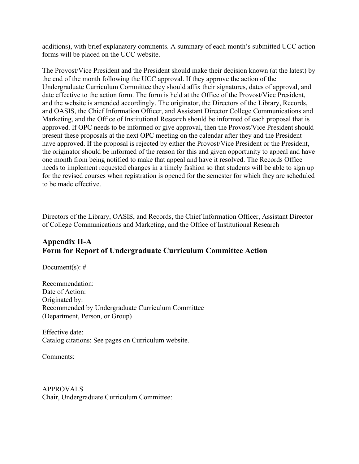additions), with brief explanatory comments. A summary of each month's submitted UCC action forms will be placed on the UCC website.

The Provost/Vice President and the President should make their decision known (at the latest) by the end of the month following the UCC approval. If they approve the action of the Undergraduate Curriculum Committee they should affix their signatures, dates of approval, and date effective to the action form. The form is held at the Office of the Provost/Vice President, and the website is amended accordingly. The originator, the Directors of the Library, Records, and OASIS, the Chief Information Officer, and Assistant Director College Communications and Marketing, and the Office of Institutional Research should be informed of each proposal that is approved. If OPC needs to be informed or give approval, then the Provost/Vice President should present these proposals at the next OPC meeting on the calendar after they and the President have approved. If the proposal is rejected by either the Provost/Vice President or the President, the originator should be informed of the reason for this and given opportunity to appeal and have one month from being notified to make that appeal and have it resolved. The Records Office needs to implement requested changes in a timely fashion so that students will be able to sign up for the revised courses when registration is opened for the semester for which they are scheduled to be made effective.

Directors of the Library, OASIS, and Records, the Chief Information Officer, Assistant Director of College Communications and Marketing, and the Office of Institutional Research

## **Appendix II-A Form for Report of Undergraduate Curriculum Committee Action**

Document(s):  $#$ 

Recommendation: Date of Action: Originated by: Recommended by Undergraduate Curriculum Committee (Department, Person, or Group)

Effective date: Catalog citations: See pages on Curriculum website.

Comments:

APPROVALS Chair, Undergraduate Curriculum Committee: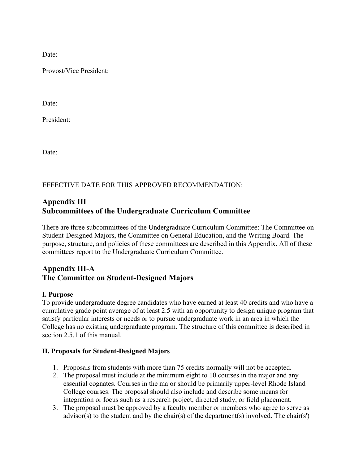Date:

Provost/Vice President:

Date:

President:

Date:

EFFECTIVE DATE FOR THIS APPROVED RECOMMENDATION:

## **Appendix III Subcommittees of the Undergraduate Curriculum Committee**

There are three subcommittees of the Undergraduate Curriculum Committee: The Committee on Student-Designed Majors, the Committee on General Education, and the Writing Board. The purpose, structure, and policies of these committees are described in this Appendix. All of these committees report to the Undergraduate Curriculum Committee.

## **Appendix III-A The Committee on Student-Designed Majors**

### **I. Purpose**

To provide undergraduate degree candidates who have earned at least 40 credits and who have a cumulative grade point average of at least 2.5 with an opportunity to design unique program that satisfy particular interests or needs or to pursue undergraduate work in an area in which the College has no existing undergraduate program. The structure of this committee is described in section 2.5.1 of this manual.

### **II. Proposals for Student-Designed Majors**

- 1. Proposals from students with more than 75 credits normally will not be accepted.
- 2. The proposal must include at the minimum eight to 10 courses in the major and any essential cognates. Courses in the major should be primarily upper-level Rhode Island College courses. The proposal should also include and describe some means for integration or focus such as a research project, directed study, or field placement.
- 3. The proposal must be approved by a faculty member or members who agree to serve as advisor(s) to the student and by the chair(s) of the department(s) involved. The chair(s')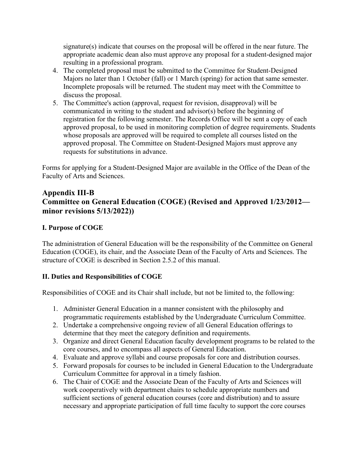signature(s) indicate that courses on the proposal will be offered in the near future. The appropriate academic dean also must approve any proposal for a student-designed major resulting in a professional program.

- 4. The completed proposal must be submitted to the Committee for Student-Designed Majors no later than 1 October (fall) or 1 March (spring) for action that same semester. Incomplete proposals will be returned. The student may meet with the Committee to discuss the proposal.
- 5. The Committee's action (approval, request for revision, disapproval) will be communicated in writing to the student and advisor(s) before the beginning of registration for the following semester. The Records Office will be sent a copy of each approved proposal, to be used in monitoring completion of degree requirements. Students whose proposals are approved will be required to complete all courses listed on the approved proposal. The Committee on Student-Designed Majors must approve any requests for substitutions in advance.

Forms for applying for a Student-Designed Major are available in the Office of the Dean of the Faculty of Arts and Sciences.

# **Appendix III-B Committee on General Education (COGE) (Revised and Approved 1/23/2012 minor revisions 5/13/2022))**

## **I. Purpose of COGE**

The administration of General Education will be the responsibility of the Committee on General Education (COGE), its chair, and the Associate Dean of the Faculty of Arts and Sciences. The structure of COGE is described in Section 2.5.2 of this manual.

## **II. Duties and Responsibilities of COGE**

Responsibilities of COGE and its Chair shall include, but not be limited to, the following:

- 1. Administer General Education in a manner consistent with the philosophy and programmatic requirements established by the Undergraduate Curriculum Committee.
- 2. Undertake a comprehensive ongoing review of all General Education offerings to determine that they meet the category definition and requirements.
- 3. Organize and direct General Education faculty development programs to be related to the core courses, and to encompass all aspects of General Education.
- 4. Evaluate and approve syllabi and course proposals for core and distribution courses.
- 5. Forward proposals for courses to be included in General Education to the Undergraduate Curriculum Committee for approval in a timely fashion.
- 6. The Chair of COGE and the Associate Dean of the Faculty of Arts and Sciences will work cooperatively with department chairs to schedule appropriate numbers and sufficient sections of general education courses (core and distribution) and to assure necessary and appropriate participation of full time faculty to support the core courses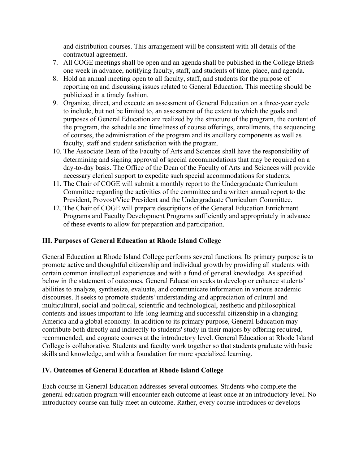and distribution courses. This arrangement will be consistent with all details of the contractual agreement.

- 7. All COGE meetings shall be open and an agenda shall be published in the College Briefs one week in advance, notifying faculty, staff, and students of time, place, and agenda.
- 8. Hold an annual meeting open to all faculty, staff, and students for the purpose of reporting on and discussing issues related to General Education. This meeting should be publicized in a timely fashion.
- 9. Organize, direct, and execute an assessment of General Education on a three-year cycle to include, but not be limited to, an assessment of the extent to which the goals and purposes of General Education are realized by the structure of the program, the content of the program, the schedule and timeliness of course offerings, enrollments, the sequencing of courses, the administration of the program and its ancillary components as well as faculty, staff and student satisfaction with the program.
- 10. The Associate Dean of the Faculty of Arts and Sciences shall have the responsibility of determining and signing approval of special accommodations that may be required on a day-to-day basis. The Office of the Dean of the Faculty of Arts and Sciences will provide necessary clerical support to expedite such special accommodations for students.
- 11. The Chair of COGE will submit a monthly report to the Undergraduate Curriculum Committee regarding the activities of the committee and a written annual report to the President, Provost/Vice President and the Undergraduate Curriculum Committee.
- 12. The Chair of COGE will prepare descriptions of the General Education Enrichment Programs and Faculty Development Programs sufficiently and appropriately in advance of these events to allow for preparation and participation.

### **III. Purposes of General Education at Rhode Island College**

General Education at Rhode Island College performs several functions. Its primary purpose is to promote active and thoughtful citizenship and individual growth by providing all students with certain common intellectual experiences and with a fund of general knowledge. As specified below in the statement of outcomes, General Education seeks to develop or enhance students' abilities to analyze, synthesize, evaluate, and communicate information in various academic discourses. It seeks to promote students' understanding and appreciation of cultural and multicultural, social and political, scientific and technological, aesthetic and philosophical contents and issues important to life-long learning and successful citizenship in a changing America and a global economy. In addition to its primary purpose, General Education may contribute both directly and indirectly to students' study in their majors by offering required, recommended, and cognate courses at the introductory level. General Education at Rhode Island College is collaborative. Students and faculty work together so that students graduate with basic skills and knowledge, and with a foundation for more specialized learning.

### **IV. Outcomes of General Education at Rhode Island College**

Each course in General Education addresses several outcomes. Students who complete the general education program will encounter each outcome at least once at an introductory level. No introductory course can fully meet an outcome. Rather, every course introduces or develops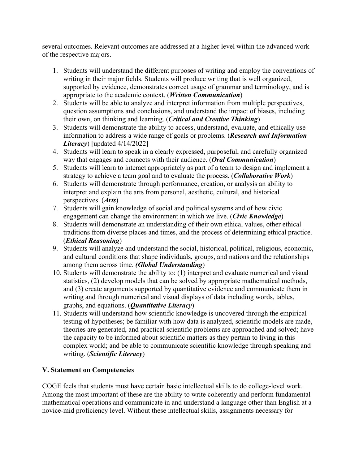several outcomes. Relevant outcomes are addressed at a higher level within the advanced work of the respective majors.

- 1. Students will understand the different purposes of writing and employ the conventions of writing in their major fields. Students will produce writing that is well organized, supported by evidence, demonstrates correct usage of grammar and terminology, and is appropriate to the academic context. (*Written Communication*)
- 2. Students will be able to analyze and interpret information from multiple perspectives, question assumptions and conclusions, and understand the impact of biases, including their own, on thinking and learning. (*Critical and Creative Thinking*)
- 3. Students will demonstrate the ability to access, understand, evaluate, and ethically use information to address a wide range of goals or problems. (*Research and Information Literacy*) [updated 4/14/2022]
- 4. Students will learn to speak in a clearly expressed, purposeful, and carefully organized way that engages and connects with their audience. (*Oral Communication*)
- 5. Students will learn to interact appropriately as part of a team to design and implement a strategy to achieve a team goal and to evaluate the process. (*Collaborative Work*)
- 6. Students will demonstrate through performance, creation, or analysis an ability to interpret and explain the arts from personal, aesthetic, cultural, and historical perspectives. (*Arts*)
- 7. Students will gain knowledge of social and political systems and of how civic engagement can change the environment in which we live. (*Civic Knowledge*)
- 8. Students will demonstrate an understanding of their own ethical values, other ethical traditions from diverse places and times, and the process of determining ethical practice. (*Ethical Reasoning*)
- 9. Students will analyze and understand the social, historical, political, religious, economic, and cultural conditions that shape individuals, groups, and nations and the relationships among them across time. *(Global Understanding*)
- 10. Students will demonstrate the ability to: (1) interpret and evaluate numerical and visual statistics, (2) develop models that can be solved by appropriate mathematical methods, and (3) create arguments supported by quantitative evidence and communicate them in writing and through numerical and visual displays of data including words, tables, graphs, and equations. (*Quantitative Literacy*)
- 11. Students will understand how scientific knowledge is uncovered through the empirical testing of hypotheses; be familiar with how data is analyzed, scientific models are made, theories are generated, and practical scientific problems are approached and solved; have the capacity to be informed about scientific matters as they pertain to living in this complex world; and be able to communicate scientific knowledge through speaking and writing. (*Scientific Literacy*)

## **V. Statement on Competencies**

COGE feels that students must have certain basic intellectual skills to do college-level work. Among the most important of these are the ability to write coherently and perform fundamental mathematical operations and communicate in and understand a language other than English at a novice-mid proficiency level. Without these intellectual skills, assignments necessary for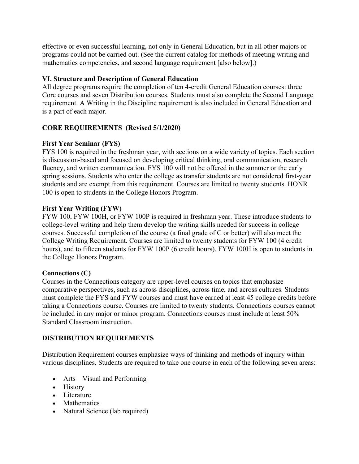effective or even successful learning, not only in General Education, but in all other majors or programs could not be carried out. (See the current catalog for methods of meeting writing and mathematics competencies, and second language requirement [also below].)

## **VI. Structure and Description of General Education**

All degree programs require the completion of ten 4-credit General Education courses: three Core courses and seven Distribution courses. Students must also complete the Second Language requirement. A Writing in the Discipline requirement is also included in General Education and is a part of each major.

## **CORE REQUIREMENTS (Revised 5/1/2020)**

### **First Year Seminar (FYS)**

FYS 100 is required in the freshman year, with sections on a wide variety of topics. Each section is discussion-based and focused on developing critical thinking, oral communication, research fluency, and written communication. FYS 100 will not be offered in the summer or the early spring sessions. Students who enter the college as transfer students are not considered first-year students and are exempt from this requirement. Courses are limited to twenty students. HONR 100 is open to students in the College Honors Program.

### **First Year Writing (FYW)**

FYW 100, FYW 100H, or FYW 100P is required in freshman year. These introduce students to college-level writing and help them develop the writing skills needed for success in college courses. Successful completion of the course (a final grade of C or better) will also meet the College Writing Requirement. Courses are limited to twenty students for FYW 100 (4 credit hours), and to fifteen students for FYW 100P (6 credit hours). FYW 100H is open to students in the College Honors Program.

### **Connections (C)**

Courses in the Connections category are upper-level courses on topics that emphasize comparative perspectives, such as across disciplines, across time, and across cultures. Students must complete the FYS and FYW courses and must have earned at least 45 college credits before taking a Connections course. Courses are limited to twenty students. Connections courses cannot be included in any major or minor program. Connections courses must include at least 50% Standard Classroom instruction.

## **DISTRIBUTION REQUIREMENTS**

Distribution Requirement courses emphasize ways of thinking and methods of inquiry within various disciplines. Students are required to take one course in each of the following seven areas:

- Arts—Visual and Performing
- History
- Literature
- Mathematics
- Natural Science (lab required)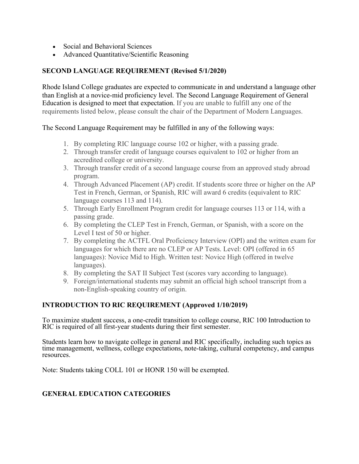- Social and Behavioral Sciences
- Advanced Quantitative/Scientific Reasoning

#### **SECOND LANGUAGE REQUIREMENT (Revised 5/1/2020)**

Rhode Island College graduates are expected to communicate in and understand a language other than English at a novice-mid proficiency level. The Second Language Requirement of General Education is designed to meet that expectation. If you are unable to fulfill any one of the requirements listed below, please consult the chair of the Department of Modern Languages.

#### The Second Language Requirement may be fulfilled in any of the following ways:

- 1. By completing RIC language course 102 or higher, with a passing grade.
- 2. Through transfer credit of language courses equivalent to 102 or higher from an accredited college or university.
- 3. Through transfer credit of a second language course from an approved study abroad program.
- 4. Through Advanced Placement (AP) credit. If students score three or higher on the AP Test in French, German, or Spanish, RIC will award 6 credits (equivalent to RIC language courses 113 and 114).
- 5. Through Early Enrollment Program credit for language courses 113 or 114, with a passing grade.
- 6. By completing the CLEP Test in French, German, or Spanish, with a score on the Level I test of 50 or higher.
- 7. By completing the ACTFL Oral Proficiency Interview (OPI) and the written exam for languages for which there are no CLEP or AP Tests. Level: OPI (offered in 65 languages): Novice Mid to High. Written test: Novice High (offered in twelve languages).
- 8. By completing the SAT II Subject Test (scores vary according to language).
- 9. Foreign/international students may submit an official high school transcript from a non-English-speaking country of origin.

### **INTRODUCTION TO RIC REQUIREMENT (Approved 1/10/2019)**

To maximize student success, a one-credit transition to college course, RIC 100 Introduction to RIC is required of all first-year students during their first semester.

Students learn how to navigate college in general and RIC specifically, including such topics as time management, wellness, college expectations, note-taking, cultural competency, and campus resources.

Note: Students taking COLL 101 or HONR 150 will be exempted.

### **GENERAL EDUCATION CATEGORIES**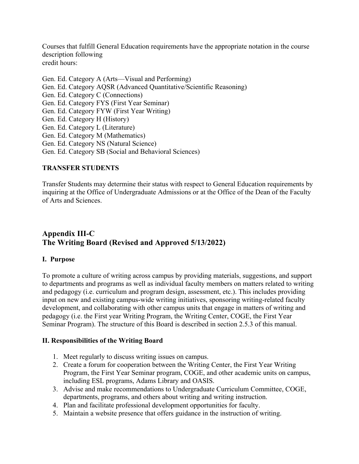Courses that fulfill General Education requirements have the appropriate notation in the course description following credit hours:

Gen. Ed. Category A (Arts—Visual and Performing) Gen. Ed. Category AQSR (Advanced Quantitative/Scientific Reasoning) Gen. Ed. Category C (Connections) Gen. Ed. Category FYS (First Year Seminar) Gen. Ed. Category FYW (First Year Writing) Gen. Ed. Category H (History) Gen. Ed. Category L (Literature) Gen. Ed. Category M (Mathematics) Gen. Ed. Category NS (Natural Science) Gen. Ed. Category SB (Social and Behavioral Sciences)

#### **TRANSFER STUDENTS**

Transfer Students may determine their status with respect to General Education requirements by inquiring at the Office of Undergraduate Admissions or at the Office of the Dean of the Faculty of Arts and Sciences.

## **Appendix III-C The Writing Board (Revised and Approved 5/13/2022)**

#### **I. Purpose**

To promote a culture of writing across campus by providing materials, suggestions, and support to departments and programs as well as individual faculty members on matters related to writing and pedagogy (i.e. curriculum and program design, assessment, etc.). This includes providing input on new and existing campus-wide writing initiatives, sponsoring writing-related faculty development, and collaborating with other campus units that engage in matters of writing and pedagogy (i.e. the First year Writing Program, the Writing Center, COGE, the First Year Seminar Program). The structure of this Board is described in section 2.5.3 of this manual.

#### **II. Responsibilities of the Writing Board**

- 1. Meet regularly to discuss writing issues on campus.
- 2. Create a forum for cooperation between the Writing Center, the First Year Writing Program, the First Year Seminar program, COGE, and other academic units on campus, including ESL programs, Adams Library and OASIS.
- 3. Advise and make recommendations to Undergraduate Curriculum Committee, COGE, departments, programs, and others about writing and writing instruction.
- 4. Plan and facilitate professional development opportunities for faculty.
- 5. Maintain a website presence that offers guidance in the instruction of writing.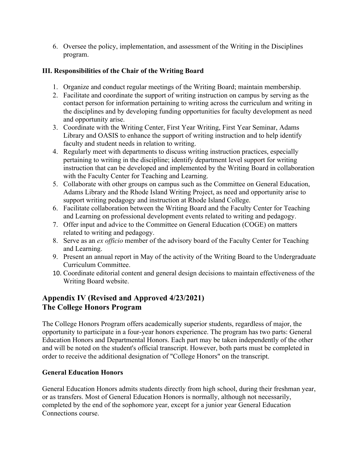6. Oversee the policy, implementation, and assessment of the Writing in the Disciplines program.

## **III. Responsibilities of the Chair of the Writing Board**

- 1. Organize and conduct regular meetings of the Writing Board; maintain membership.
- 2. Facilitate and coordinate the support of writing instruction on campus by serving as the contact person for information pertaining to writing across the curriculum and writing in the disciplines and by developing funding opportunities for faculty development as need and opportunity arise.
- 3. Coordinate with the Writing Center, First Year Writing, First Year Seminar, Adams Library and OASIS to enhance the support of writing instruction and to help identify faculty and student needs in relation to writing.
- 4. Regularly meet with departments to discuss writing instruction practices, especially pertaining to writing in the discipline; identify department level support for writing instruction that can be developed and implemented by the Writing Board in collaboration with the Faculty Center for Teaching and Learning.
- 5. Collaborate with other groups on campus such as the Committee on General Education, Adams Library and the Rhode Island Writing Project, as need and opportunity arise to support writing pedagogy and instruction at Rhode Island College.
- 6. Facilitate collaboration between the Writing Board and the Faculty Center for Teaching and Learning on professional development events related to writing and pedagogy.
- 7. Offer input and advice to the Committee on General Education (COGE) on matters related to writing and pedagogy.
- 8. Serve as an *ex officio* member of the advisory board of the Faculty Center for Teaching and Learning.
- 9. Present an annual report in May of the activity of the Writing Board to the Undergraduate Curriculum Committee.
- 10. Coordinate editorial content and general design decisions to maintain effectiveness of the Writing Board website.

# **Appendix IV (Revised and Approved 4/23/2021) The College Honors Program**

The College Honors Program offers academically superior students, regardless of major, the opportunity to participate in a four-year honors experience. The program has two parts: General Education Honors and Departmental Honors. Each part may be taken independently of the other and will be noted on the student's official transcript. However, both parts must be completed in order to receive the additional designation of "College Honors" on the transcript.

## **General Education Honors**

General Education Honors admits students directly from high school, during their freshman year, or as transfers. Most of General Education Honors is normally, although not necessarily, completed by the end of the sophomore year, except for a junior year General Education Connections course.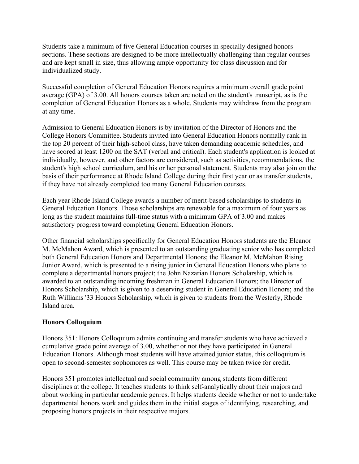Students take a minimum of five General Education courses in specially designed honors sections. These sections are designed to be more intellectually challenging than regular courses and are kept small in size, thus allowing ample opportunity for class discussion and for individualized study.

Successful completion of General Education Honors requires a minimum overall grade point average (GPA) of 3.00. All honors courses taken are noted on the student's transcript, as is the completion of General Education Honors as a whole. Students may withdraw from the program at any time.

Admission to General Education Honors is by invitation of the Director of Honors and the College Honors Committee. Students invited into General Education Honors normally rank in the top 20 percent of their high-school class, have taken demanding academic schedules, and have scored at least 1200 on the SAT (verbal and critical). Each student's application is looked at individually, however, and other factors are considered, such as activities, recommendations, the student's high school curriculum, and his or her personal statement. Students may also join on the basis of their performance at Rhode Island College during their first year or as transfer students, if they have not already completed too many General Education courses.

Each year Rhode Island College awards a number of merit-based scholarships to students in General Education Honors. Those scholarships are renewable for a maximum of four years as long as the student maintains full-time status with a minimum GPA of 3.00 and makes satisfactory progress toward completing General Education Honors.

Other financial scholarships specifically for General Education Honors students are the Eleanor M. McMahon Award, which is presented to an outstanding graduating senior who has completed both General Education Honors and Departmental Honors; the Eleanor M. McMahon Rising Junior Award, which is presented to a rising junior in General Education Honors who plans to complete a departmental honors project; the John Nazarian Honors Scholarship, which is awarded to an outstanding incoming freshman in General Education Honors; the Director of Honors Scholarship, which is given to a deserving student in General Education Honors; and the Ruth Williams '33 Honors Scholarship, which is given to students from the Westerly, Rhode Island area.

### **Honors Colloquium**

Honors 351: Honors Colloquium admits continuing and transfer students who have achieved a cumulative grade point average of 3.00, whether or not they have participated in General Education Honors. Although most students will have attained junior status, this colloquium is open to second-semester sophomores as well. This course may be taken twice for credit.

Honors 351 promotes intellectual and social community among students from different disciplines at the college. It teaches students to think self-analytically about their majors and about working in particular academic genres. It helps students decide whether or not to undertake departmental honors work and guides them in the initial stages of identifying, researching, and proposing honors projects in their respective majors.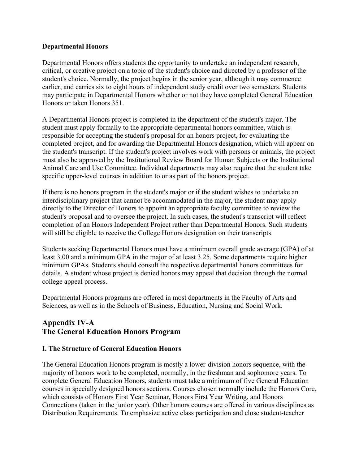#### **Departmental Honors**

Departmental Honors offers students the opportunity to undertake an independent research, critical, or creative project on a topic of the student's choice and directed by a professor of the student's choice. Normally, the project begins in the senior year, although it may commence earlier, and carries six to eight hours of independent study credit over two semesters. Students may participate in Departmental Honors whether or not they have completed General Education Honors or taken Honors 351.

A Departmental Honors project is completed in the department of the student's major. The student must apply formally to the appropriate departmental honors committee, which is responsible for accepting the student's proposal for an honors project, for evaluating the completed project, and for awarding the Departmental Honors designation, which will appear on the student's transcript. If the student's project involves work with persons or animals, the project must also be approved by the Institutional Review Board for Human Subjects or the Institutional Animal Care and Use Committee. Individual departments may also require that the student take specific upper-level courses in addition to or as part of the honors project.

If there is no honors program in the student's major or if the student wishes to undertake an interdisciplinary project that cannot be accommodated in the major, the student may apply directly to the Director of Honors to appoint an appropriate faculty committee to review the student's proposal and to oversee the project. In such cases, the student's transcript will reflect completion of an Honors Independent Project rather than Departmental Honors. Such students will still be eligible to receive the College Honors designation on their transcripts.

Students seeking Departmental Honors must have a minimum overall grade average (GPA) of at least 3.00 and a minimum GPA in the major of at least 3.25. Some departments require higher minimum GPAs. Students should consult the respective departmental honors committees for details. A student whose project is denied honors may appeal that decision through the normal college appeal process.

Departmental Honors programs are offered in most departments in the Faculty of Arts and Sciences, as well as in the Schools of Business, Education, Nursing and Social Work.

## **Appendix IV-A The General Education Honors Program**

### **I. The Structure of General Education Honors**

The General Education Honors program is mostly a lower-division honors sequence, with the majority of honors work to be completed, normally, in the freshman and sophomore years. To complete General Education Honors, students must take a minimum of five General Education courses in specially designed honors sections. Courses chosen normally include the Honors Core, which consists of Honors First Year Seminar, Honors First Year Writing, and Honors Connections (taken in the junior year). Other honors courses are offered in various disciplines as Distribution Requirements. To emphasize active class participation and close student-teacher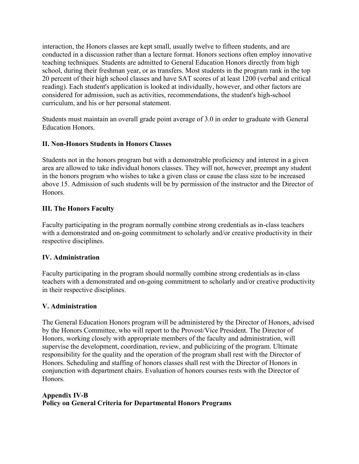interaction, the Honors classes are kept small, usually twelve to fifteen students, and are conducted in a discussion rather than a lecture format. Honors sections often employ innovative teaching techniques. Students are admitted to General Education Honors directly from high school, during their freshman year, or as transfers. Most students in the program rank in the top 20 percent of their high school classes and have SAT scores of at least 1200 (verbal and critical reading). Each student's application is looked at individually, however, and other factors are considered for admission, such as activities, recommendations, the student's high-school curriculum, and his or her personal statement.

Students must maintain an overall grade point average of 3.0 in order to graduate with General Education Honors.

### **II. Non-Honors Students in Honors Classes**

Students not in the honors program but with a demonstrable proficiency and interest in a given area are allowed to take individual honors classes. They will not, however, preempt any student in the honors program who wishes to take a given class or cause the class size to be increased above 15. Admission of such students will be by permission of the instructor and the Director of Honors.

## **III. The Honors Faculty**

Faculty participating in the program normally combine strong credentials as in-class teachers with a demonstrated and on-going commitment to scholarly and/or creative productivity in their respective disciplines.

### **IV. Administration**

Faculty participating in the program should normally combine strong credentials as in-class teachers with a demonstrated and on-going commitment to scholarly and/or creative productivity in their respective disciplines.

### **V. Administration**

The General Education Honors program will be administered by the Director of Honors, advised by the Honors Committee, who will report to the Provost/Vice President. The Director of Honors, working closely with appropriate members of the faculty and administration, will supervise the development, coordination, review, and publicizing of the program. Ultimate responsibility for the quality and the operation of the program shall rest with the Director of Honors. Scheduling and staffing of honors classes shall rest with the Director of Honors in conjunction with department chairs. Evaluation of honors courses rests with the Director of Honors.

## **Appendix IV-B Policy on General Criteria for Departmental Honors Programs**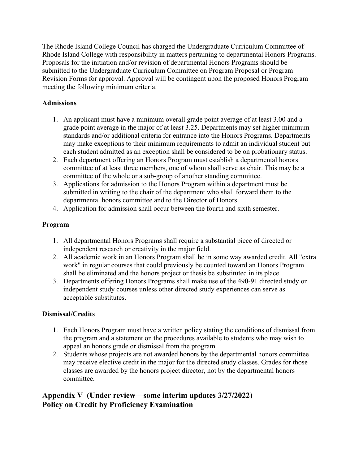The Rhode Island College Council has charged the Undergraduate Curriculum Committee of Rhode Island College with responsibility in matters pertaining to departmental Honors Programs. Proposals for the initiation and/or revision of departmental Honors Programs should be submitted to the Undergraduate Curriculum Committee on Program Proposal or Program Revision Forms for approval. Approval will be contingent upon the proposed Honors Program meeting the following minimum criteria.

## **Admissions**

- 1. An applicant must have a minimum overall grade point average of at least 3.00 and a grade point average in the major of at least 3.25. Departments may set higher minimum standards and/or additional criteria for entrance into the Honors Programs. Departments may make exceptions to their minimum requirements to admit an individual student but each student admitted as an exception shall be considered to be on probationary status.
- 2. Each department offering an Honors Program must establish a departmental honors committee of at least three members, one of whom shall serve as chair. This may be a committee of the whole or a sub-group of another standing committee.
- 3. Applications for admission to the Honors Program within a department must be submitted in writing to the chair of the department who shall forward them to the departmental honors committee and to the Director of Honors.
- 4. Application for admission shall occur between the fourth and sixth semester.

## **Program**

- 1. All departmental Honors Programs shall require a substantial piece of directed or independent research or creativity in the major field.
- 2. All academic work in an Honors Program shall be in some way awarded credit. All "extra work" in regular courses that could previously be counted toward an Honors Program shall be eliminated and the honors project or thesis be substituted in its place.
- 3. Departments offering Honors Programs shall make use of the 490-91 directed study or independent study courses unless other directed study experiences can serve as acceptable substitutes.

### **Dismissal/Credits**

- 1. Each Honors Program must have a written policy stating the conditions of dismissal from the program and a statement on the procedures available to students who may wish to appeal an honors grade or dismissal from the program.
- 2. Students whose projects are not awarded honors by the departmental honors committee may receive elective credit in the major for the directed study classes. Grades for those classes are awarded by the honors project director, not by the departmental honors committee.

## **Appendix V (Under review—some interim updates 3/27/2022) Policy on Credit by Proficiency Examination**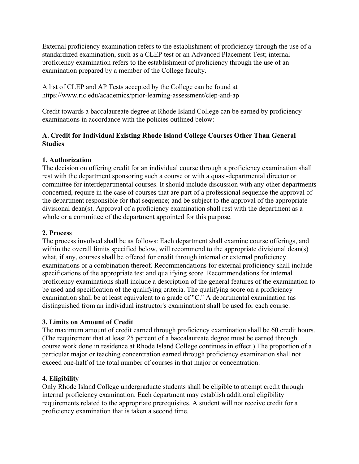External proficiency examination refers to the establishment of proficiency through the use of a standardized examination, such as a CLEP test or an Advanced Placement Test; internal proficiency examination refers to the establishment of proficiency through the use of an examination prepared by a member of the College faculty.

A list of CLEP and AP Tests accepted by the College can be found at https://www.ric.edu/academics/prior-learning-assessment/clep-and-ap

Credit towards a baccalaureate degree at Rhode Island College can be earned by proficiency examinations in accordance with the policies outlined below:

## **A. Credit for Individual Existing Rhode Island College Courses Other Than General Studies**

## **1. Authorization**

The decision on offering credit for an individual course through a proficiency examination shall rest with the department sponsoring such a course or with a quasi-departmental director or committee for interdepartmental courses. It should include discussion with any other departments concerned, require in the case of courses that are part of a professional sequence the approval of the department responsible for that sequence; and be subject to the approval of the appropriate divisional dean(s). Approval of a proficiency examination shall rest with the department as a whole or a committee of the department appointed for this purpose.

## **2. Process**

The process involved shall be as follows: Each department shall examine course offerings, and within the overall limits specified below, will recommend to the appropriate divisional dean(s) what, if any, courses shall be offered for credit through internal or external proficiency examinations or a combination thereof. Recommendations for external proficiency shall include specifications of the appropriate test and qualifying score. Recommendations for internal proficiency examinations shall include a description of the general features of the examination to be used and specification of the qualifying criteria. The qualifying score on a proficiency examination shall be at least equivalent to a grade of "C." A departmental examination (as distinguished from an individual instructor's examination) shall be used for each course.

## **3. Limits on Amount of Credit**

The maximum amount of credit earned through proficiency examination shall be 60 credit hours. (The requirement that at least 25 percent of a baccalaureate degree must be earned through course work done in residence at Rhode Island College continues in effect.) The proportion of a particular major or teaching concentration earned through proficiency examination shall not exceed one-half of the total number of courses in that major or concentration.

## **4. Eligibility**

Only Rhode Island College undergraduate students shall be eligible to attempt credit through internal proficiency examination. Each department may establish additional eligibility requirements related to the appropriate prerequisites. A student will not receive credit for a proficiency examination that is taken a second time.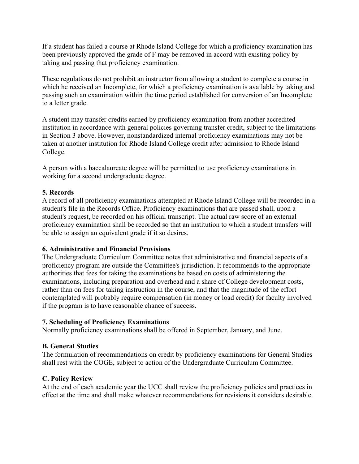If a student has failed a course at Rhode Island College for which a proficiency examination has been previously approved the grade of F may be removed in accord with existing policy by taking and passing that proficiency examination.

These regulations do not prohibit an instructor from allowing a student to complete a course in which he received an Incomplete, for which a proficiency examination is available by taking and passing such an examination within the time period established for conversion of an Incomplete to a letter grade.

A student may transfer credits earned by proficiency examination from another accredited institution in accordance with general policies governing transfer credit, subject to the limitations in Section 3 above. However, nonstandardized internal proficiency examinations may not be taken at another institution for Rhode Island College credit after admission to Rhode Island College.

A person with a baccalaureate degree will be permitted to use proficiency examinations in working for a second undergraduate degree.

#### **5. Records**

A record of all proficiency examinations attempted at Rhode Island College will be recorded in a student's file in the Records Office. Proficiency examinations that are passed shall, upon a student's request, be recorded on his official transcript. The actual raw score of an external proficiency examination shall be recorded so that an institution to which a student transfers will be able to assign an equivalent grade if it so desires.

#### **6. Administrative and Financial Provisions**

The Undergraduate Curriculum Committee notes that administrative and financial aspects of a proficiency program are outside the Committee's jurisdiction. It recommends to the appropriate authorities that fees for taking the examinations be based on costs of administering the examinations, including preparation and overhead and a share of College development costs, rather than on fees for taking instruction in the course, and that the magnitude of the effort contemplated will probably require compensation (in money or load credit) for faculty involved if the program is to have reasonable chance of success.

#### **7. Scheduling of Proficiency Examinations**

Normally proficiency examinations shall be offered in September, January, and June.

### **B. General Studies**

The formulation of recommendations on credit by proficiency examinations for General Studies shall rest with the COGE, subject to action of the Undergraduate Curriculum Committee.

#### **C. Policy Review**

At the end of each academic year the UCC shall review the proficiency policies and practices in effect at the time and shall make whatever recommendations for revisions it considers desirable.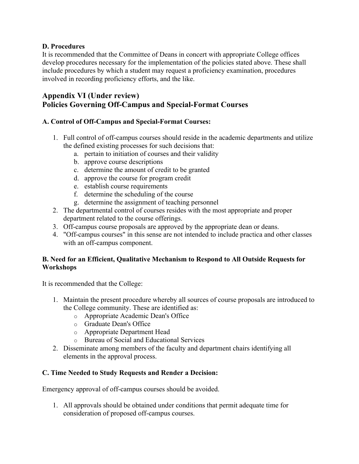## **D. Procedures**

It is recommended that the Committee of Deans in concert with appropriate College offices develop procedures necessary for the implementation of the policies stated above. These shall include procedures by which a student may request a proficiency examination, procedures involved in recording proficiency efforts, and the like.

## **Appendix VI (Under review) Policies Governing Off-Campus and Special-Format Courses**

## **A. Control of Off-Campus and Special-Format Courses:**

- 1. Full control of off-campus courses should reside in the academic departments and utilize the defined existing processes for such decisions that:
	- a. pertain to initiation of courses and their validity
	- b. approve course descriptions
	- c. determine the amount of credit to be granted
	- d. approve the course for program credit
	- e. establish course requirements
	- f. determine the scheduling of the course
	- g. determine the assignment of teaching personnel
- 2. The departmental control of courses resides with the most appropriate and proper department related to the course offerings.
- 3. Off-campus course proposals are approved by the appropriate dean or deans.
- 4. "Off-campus courses" in this sense are not intended to include practica and other classes with an off-campus component.

## **B. Need for an Efficient, Qualitative Mechanism to Respond to All Outside Requests for Workshops**

It is recommended that the College:

- 1. Maintain the present procedure whereby all sources of course proposals are introduced to the College community. These are identified as:
	- o Appropriate Academic Dean's Office
	- o Graduate Dean's Office
	- o Appropriate Department Head
	- o Bureau of Social and Educational Services
- 2. Disseminate among members of the faculty and department chairs identifying all elements in the approval process.

## **C. Time Needed to Study Requests and Render a Decision:**

Emergency approval of off-campus courses should be avoided.

1. All approvals should be obtained under conditions that permit adequate time for consideration of proposed off-campus courses.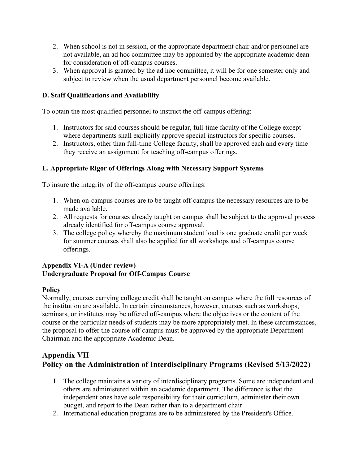- 2. When school is not in session, or the appropriate department chair and/or personnel are not available, an ad hoc committee may be appointed by the appropriate academic dean for consideration of off-campus courses.
- 3. When approval is granted by the ad hoc committee, it will be for one semester only and subject to review when the usual department personnel become available.

## **D. Staff Qualifications and Availability**

To obtain the most qualified personnel to instruct the off-campus offering:

- 1. Instructors for said courses should be regular, full-time faculty of the College except where departments shall explicitly approve special instructors for specific courses.
- 2. Instructors, other than full-time College faculty, shall be approved each and every time they receive an assignment for teaching off-campus offerings.

### **E. Appropriate Rigor of Offerings Along with Necessary Support Systems**

To insure the integrity of the off-campus course offerings:

- 1. When on-campus courses are to be taught off-campus the necessary resources are to be made available.
- 2. All requests for courses already taught on campus shall be subject to the approval process already identified for off-campus course approval.
- 3. The college policy whereby the maximum student load is one graduate credit per week for summer courses shall also be applied for all workshops and off-campus course offerings.

### **Appendix VI-A (Under review) Undergraduate Proposal for Off-Campus Course**

### **Policy**

Normally, courses carrying college credit shall be taught on campus where the full resources of the institution are available. In certain circumstances, however, courses such as workshops, seminars, or institutes may be offered off-campus where the objectives or the content of the course or the particular needs of students may be more appropriately met. In these circumstances, the proposal to offer the course off-campus must be approved by the appropriate Department Chairman and the appropriate Academic Dean.

## **Appendix VII Policy on the Administration of Interdisciplinary Programs (Revised 5/13/2022)**

- 1. The college maintains a variety of interdisciplinary programs. Some are independent and others are administered within an academic department. The difference is that the independent ones have sole responsibility for their curriculum, administer their own budget, and report to the Dean rather than to a department chair.
- 2. International education programs are to be administered by the President's Office.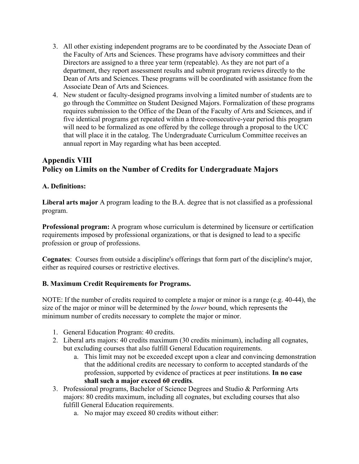- 3. All other existing independent programs are to be coordinated by the Associate Dean of the Faculty of Arts and Sciences. These programs have advisory committees and their Directors are assigned to a three year term (repeatable). As they are not part of a department, they report assessment results and submit program reviews directly to the Dean of Arts and Sciences. These programs will be coordinated with assistance from the Associate Dean of Arts and Sciences.
- 4. New student or faculty-designed programs involving a limited number of students are to go through the Committee on Student Designed Majors. Formalization of these programs requires submission to the Office of the Dean of the Faculty of Arts and Sciences, and if five identical programs get repeated within a three-consecutive-year period this program will need to be formalized as one offered by the college through a proposal to the UCC that will place it in the catalog. The Undergraduate Curriculum Committee receives an annual report in May regarding what has been accepted.

## **Appendix VIII Policy on Limits on the Number of Credits for Undergraduate Majors**

### **A. Definitions:**

**Liberal arts major** A program leading to the B.A. degree that is not classified as a professional program.

**Professional program:** A program whose curriculum is determined by licensure or certification requirements imposed by professional organizations, or that is designed to lead to a specific profession or group of professions.

**Cognates**: Courses from outside a discipline's offerings that form part of the discipline's major, either as required courses or restrictive electives.

## **B. Maximum Credit Requirements for Programs.**

NOTE: If the number of credits required to complete a major or minor is a range (e.g. 40-44), the size of the major or minor will be determined by the *lower* bound, which represents the minimum number of credits necessary to complete the major or minor.

- 1. General Education Program: 40 credits.
- 2. Liberal arts majors: 40 credits maximum (30 credits minimum), including all cognates, but excluding courses that also fulfill General Education requirements.
	- a. This limit may not be exceeded except upon a clear and convincing demonstration that the additional credits are necessary to conform to accepted standards of the profession, supported by evidence of practices at peer institutions. **In no case shall such a major exceed 60 credits**.
- 3. Professional programs, Bachelor of Science Degrees and Studio & Performing Arts majors: 80 credits maximum, including all cognates, but excluding courses that also fulfill General Education requirements.
	- a. No major may exceed 80 credits without either: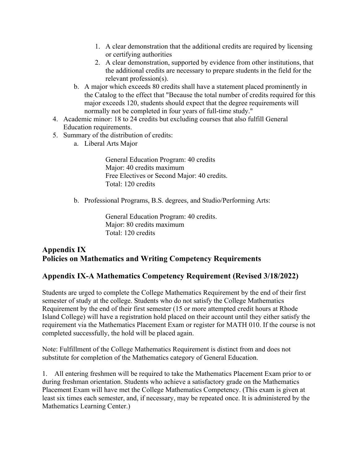- 1. A clear demonstration that the additional credits are required by licensing or certifying authorities
- 2. A clear demonstration, supported by evidence from other institutions, that the additional credits are necessary to prepare students in the field for the relevant profession(s).
- b. A major which exceeds 80 credits shall have a statement placed prominently in the Catalog to the effect that "Because the total number of credits required for this major exceeds 120, students should expect that the degree requirements will normally not be completed in four years of full-time study."
- 4. Academic minor: 18 to 24 credits but excluding courses that also fulfill General Education requirements.
- 5. Summary of the distribution of credits:
	- a. Liberal Arts Major

General Education Program: 40 credits Major: 40 credits maximum Free Electives or Second Major: 40 credits. Total: 120 credits

b. Professional Programs, B.S. degrees, and Studio/Performing Arts:

General Education Program: 40 credits. Major: 80 credits maximum Total: 120 credits

## **Appendix IX Policies on Mathematics and Writing Competency Requirements**

## **Appendix IX-A Mathematics Competency Requirement (Revised 3/18/2022)**

Students are urged to complete the College Mathematics Requirement by the end of their first semester of study at the college. Students who do not satisfy the College Mathematics Requirement by the end of their first semester (15 or more attempted credit hours at Rhode Island College) will have a registration hold placed on their account until they either satisfy the requirement via the Mathematics Placement Exam or register for MATH 010. If the course is not completed successfully, the hold will be placed again.

Note: Fulfillment of the College Mathematics Requirement is distinct from and does not substitute for completion of the Mathematics category of General Education.

1. All entering freshmen will be required to take the Mathematics Placement Exam prior to or during freshman orientation. Students who achieve a satisfactory grade on the Mathematics Placement Exam will have met the College Mathematics Competency. (This exam is given at least six times each semester, and, if necessary, may be repeated once. It is administered by the Mathematics Learning Center.)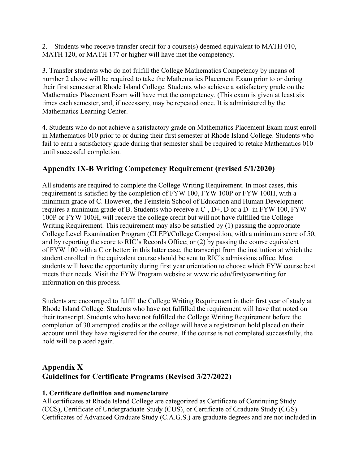2. Students who receive transfer credit for a course(s) deemed equivalent to MATH 010, MATH 120, or MATH 177 or higher will have met the competency.

3. Transfer students who do not fulfill the College Mathematics Competency by means of number 2 above will be required to take the Mathematics Placement Exam prior to or during their first semester at Rhode Island College. Students who achieve a satisfactory grade on the Mathematics Placement Exam will have met the competency. (This exam is given at least six times each semester, and, if necessary, may be repeated once. It is administered by the Mathematics Learning Center.

4. Students who do not achieve a satisfactory grade on Mathematics Placement Exam must enroll in Mathematics 010 prior to or during their first semester at Rhode Island College. Students who fail to earn a satisfactory grade during that semester shall be required to retake Mathematics 010 until successful completion.

## **Appendix IX-B Writing Competency Requirement (revised 5/1/2020)**

All students are required to complete the College Writing Requirement. In most cases, this requirement is satisfied by the completion of FYW 100, FYW 100P or FYW 100H, with a minimum grade of C. However, the Feinstein School of Education and Human Development requires a minimum grade of B. Students who receive a C-, D+, D or a D- in FYW 100, FYW 100P or FYW 100H, will receive the college credit but will not have fulfilled the College Writing Requirement. This requirement may also be satisfied by (1) passing the appropriate College Level Examination Program (CLEP)/College Composition, with a minimum score of 50, and by reporting the score to RIC's Records Office; or (2) by passing the course equivalent of FYW 100 with a C or better; in this latter case, the transcript from the institution at which the student enrolled in the equivalent course should be sent to RIC's admissions office. Most students will have the opportunity during first year orientation to choose which FYW course best meets their needs. Visit the FYW Program website at www.ric.edu/firstyearwriting for information on this process.

Students are encouraged to fulfill the College Writing Requirement in their first year of study at Rhode Island College. Students who have not fulfilled the requirement will have that noted on their transcript. Students who have not fulfilled the College Writing Requirement before the completion of 30 attempted credits at the college will have a registration hold placed on their account until they have registered for the course. If the course is not completed successfully, the hold will be placed again.

# **Appendix X Guidelines for Certificate Programs (Revised 3/27/2022)**

## **1. Certificate definition and nomenclature**

All certificates at Rhode Island College are categorized as Certificate of Continuing Study (CCS), Certificate of Undergraduate Study (CUS), or Certificate of Graduate Study (CGS). Certificates of Advanced Graduate Study (C.A.G.S.) are graduate degrees and are not included in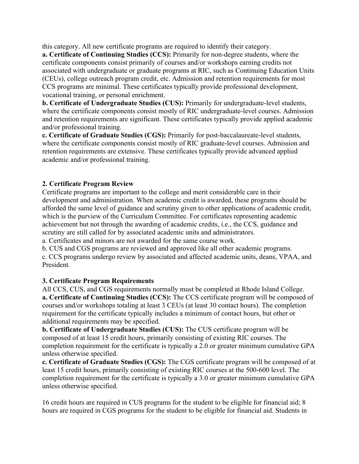this category. All new certificate programs are required to identify their category.

**a. Certificate of Continuing Studies (CCS):** Primarily for non-degree students, where the certificate components consist primarily of courses and/or workshops earning credits not associated with undergraduate or graduate programs at RIC, such as Continuing Education Units (CEUs), college outreach program credit, etc. Admission and retention requirements for most CCS programs are minimal. These certificates typically provide professional development, vocational training, or personal enrichment.

**b. Certificate of Undergraduate Studies (CUS):** Primarily for undergraduate-level students, where the certificate components consist mostly of RIC undergraduate-level courses. Admission and retention requirements are significant. These certificates typically provide applied academic and/or professional training.

**c. Certificate of Graduate Studies (CGS):** Primarily for post-baccalaureate-level students, where the certificate components consist mostly of RIC graduate-level courses. Admission and retention requirements are extensive. These certificates typically provide advanced applied academic and/or professional training.

## **2. Certificate Program Review**

Certificate programs are important to the college and merit considerable care in their development and administration. When academic credit is awarded, these programs should be afforded the same level of guidance and scrutiny given to other applications of academic credit, which is the purview of the Curriculum Committee. For certificates representing academic achievement but not through the awarding of academic credits, i.e., the CCS, guidance and scrutiny are still called for by associated academic units and administrators.

a. Certificates and minors are not awarded for the same course work.

b. CUS and CGS programs are reviewed and approved like all other academic programs.

c. CCS programs undergo review by associated and affected academic units, deans, VPAA, and President.

### **3. Certificate Program Requirements**

All CCS, CUS, and CGS requirements normally must be completed at Rhode Island College. **a. Certificate of Continuing Studies (CCS):** The CCS certificate program will be composed of courses and/or workshops totaling at least 3 CEUs (at least 30 contact hours). The completion requirement for the certificate typically includes a minimum of contact hours, but other or additional requirements may be specified.

**b. Certificate of Undergraduate Studies (CUS):** The CUS certificate program will be composed of at least 15 credit hours, primarily consisting of existing RIC courses. The completion requirement for the certificate is typically a 2.0 or greater minimum cumulative GPA unless otherwise specified.

**c. Certificate of Graduate Studies (CGS):** The CGS certificate program will be composed of at least 15 credit hours, primarily consisting of existing RIC courses at the 500-600 level. The completion requirement for the certificate is typically a 3.0 or greater minimum cumulative GPA unless otherwise specified.

16 credit hours are required in CUS programs for the student to be eligible for financial aid; 8 hours are required in CGS programs for the student to be eligible for financial aid. Students in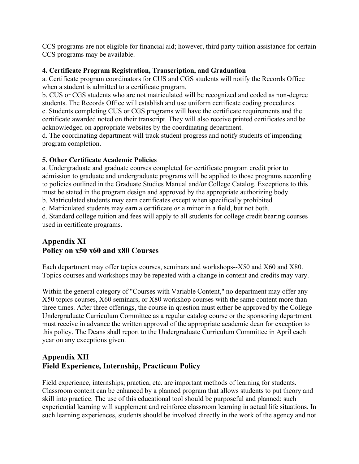CCS programs are not eligible for financial aid; however, third party tuition assistance for certain CCS programs may be available.

## **4. Certificate Program Registration, Transcription, and Graduation**

a. Certificate program coordinators for CUS and CGS students will notify the Records Office when a student is admitted to a certificate program.

b. CUS or CGS students who are not matriculated will be recognized and coded as non-degree students. The Records Office will establish and use uniform certificate coding procedures. c. Students completing CUS or CGS programs will have the certificate requirements and the certificate awarded noted on their transcript. They will also receive printed certificates and be acknowledged on appropriate websites by the coordinating department.

d. The coordinating department will track student progress and notify students of impending program completion.

## **5. Other Certificate Academic Policies**

a. Undergraduate and graduate courses completed for certificate program credit prior to admission to graduate and undergraduate programs will be applied to those programs according to policies outlined in the Graduate Studies Manual and/or College Catalog. Exceptions to this must be stated in the program design and approved by the appropriate authorizing body. b. Matriculated students may earn certificates except when specifically prohibited.

c. Matriculated students may earn a certificate *or* a minor in a field, but not both.

d. Standard college tuition and fees will apply to all students for college credit bearing courses used in certificate programs.

## **Appendix XI Policy on x50 x60 and x80 Courses**

Each department may offer topics courses, seminars and workshops--X50 and X60 and X80. Topics courses and workshops may be repeated with a change in content and credits may vary.

Within the general category of "Courses with Variable Content," no department may offer any X50 topics courses, X60 seminars, or X80 workshop courses with the same content more than three times. After three offerings, the course in question must either be approved by the College Undergraduate Curriculum Committee as a regular catalog course or the sponsoring department must receive in advance the written approval of the appropriate academic dean for exception to this policy. The Deans shall report to the Undergraduate Curriculum Committee in April each year on any exceptions given.

# **Appendix XII Field Experience, Internship, Practicum Policy**

Field experience, internships, practica, etc. are important methods of learning for students. Classroom content can be enhanced by a planned program that allows students to put theory and skill into practice. The use of this educational tool should be purposeful and planned: such experiential learning will supplement and reinforce classroom learning in actual life situations. In such learning experiences, students should be involved directly in the work of the agency and not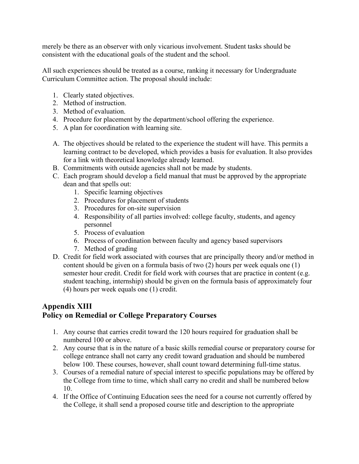merely be there as an observer with only vicarious involvement. Student tasks should be consistent with the educational goals of the student and the school.

All such experiences should be treated as a course, ranking it necessary for Undergraduate Curriculum Committee action. The proposal should include:

- 1. Clearly stated objectives.
- 2. Method of instruction.
- 3. Method of evaluation.
- 4. Procedure for placement by the department/school offering the experience.
- 5. A plan for coordination with learning site.
- A. The objectives should be related to the experience the student will have. This permits a learning contract to be developed, which provides a basis for evaluation. It also provides for a link with theoretical knowledge already learned.
- B. Commitments with outside agencies shall not be made by students.
- C. Each program should develop a field manual that must be approved by the appropriate dean and that spells out:
	- 1. Specific learning objectives
	- 2. Procedures for placement of students
	- 3. Procedures for on-site supervision
	- 4. Responsibility of all parties involved: college faculty, students, and agency personnel
	- 5. Process of evaluation
	- 6. Process of coordination between faculty and agency based supervisors
	- 7. Method of grading
- D. Credit for field work associated with courses that are principally theory and/or method in content should be given on a formula basis of two (2) hours per week equals one (1) semester hour credit. Credit for field work with courses that are practice in content (e.g. student teaching, internship) should be given on the formula basis of approximately four (4) hours per week equals one (1) credit.

## **Appendix XIII Policy on Remedial or College Preparatory Courses**

- 1. Any course that carries credit toward the 120 hours required for graduation shall be numbered 100 or above.
- 2. Any course that is in the nature of a basic skills remedial course or preparatory course for college entrance shall not carry any credit toward graduation and should be numbered below 100. These courses, however, shall count toward determining full-time status.
- 3. Courses of a remedial nature of special interest to specific populations may be offered by the College from time to time, which shall carry no credit and shall be numbered below 10.
- 4. If the Office of Continuing Education sees the need for a course not currently offered by the College, it shall send a proposed course title and description to the appropriate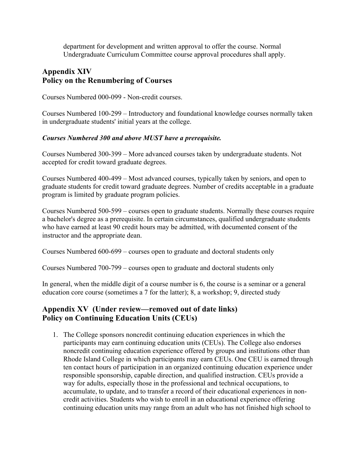department for development and written approval to offer the course. Normal Undergraduate Curriculum Committee course approval procedures shall apply.

## **Appendix XIV Policy on the Renumbering of Courses**

Courses Numbered 000-099 - Non-credit courses.

Courses Numbered 100-299 – Introductory and foundational knowledge courses normally taken in undergraduate students' initial years at the college.

#### *Courses Numbered 300 and above MUST have a prerequisite.*

Courses Numbered 300-399 – More advanced courses taken by undergraduate students. Not accepted for credit toward graduate degrees.

Courses Numbered 400-499 – Most advanced courses, typically taken by seniors, and open to graduate students for credit toward graduate degrees. Number of credits acceptable in a graduate program is limited by graduate program policies.

Courses Numbered 500-599 – courses open to graduate students. Normally these courses require a bachelor's degree as a prerequisite. In certain circumstances, qualified undergraduate students who have earned at least 90 credit hours may be admitted, with documented consent of the instructor and the appropriate dean.

Courses Numbered 600-699 – courses open to graduate and doctoral students only

Courses Numbered 700-799 – courses open to graduate and doctoral students only

In general, when the middle digit of a course number is 6, the course is a seminar or a general education core course (sometimes a 7 for the latter); 8, a workshop; 9, directed study

## **Appendix XV (Under review—removed out of date links) Policy on Continuing Education Units (CEUs)**

1. The College sponsors noncredit continuing education experiences in which the participants may earn continuing education units (CEUs). The College also endorses noncredit continuing education experience offered by groups and institutions other than Rhode Island College in which participants may earn CEUs. One CEU is earned through ten contact hours of participation in an organized continuing education experience under responsible sponsorship, capable direction, and qualified instruction. CEUs provide a way for adults, especially those in the professional and technical occupations, to accumulate, to update, and to transfer a record of their educational experiences in noncredit activities. Students who wish to enroll in an educational experience offering continuing education units may range from an adult who has not finished high school to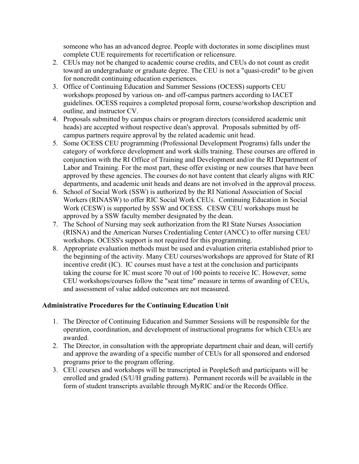someone who has an advanced degree. People with doctorates in some disciplines must complete CUE requirements for recertification or relicensure.

- 2. CEUs may not be changed to academic course credits, and CEUs do not count as credit toward an undergraduate or graduate degree. The CEU is not a "quasi-credit" to be given for noncredit continuing education experiences.
- 3. Office of Continuing Education and Summer Sessions (OCESS) supports CEU workshops proposed by various on- and off-campus partners according to IACET guidelines. OCESS requires a completed proposal form, course/workshop description and outline, and instructor CV.
- 4. Proposals submitted by campus chairs or program directors (considered academic unit heads) are accepted without respective dean's approval. Proposals submitted by offcampus partners require approval by the related academic unit head.
- 5. Some OCESS CEU programming (Professional Development Programs) falls under the category of workforce development and work skills training. These courses are offered in conjunction with the RI Office of Training and Development and/or the RI Department of Labor and Training. For the most part, these offer existing or new courses that have been approved by these agencies. The courses do not have content that clearly aligns with RIC departments, and academic unit heads and deans are not involved in the approval process.
- 6. School of Social Work (SSW) is authorized by the RI National Association of Social Workers (RINASW) to offer RIC Social Work CEUs. Continuing Education in Social Work (CESW) is supported by SSW and OCESS. CESW CEU workshops must be approved by a SSW faculty member designated by the dean.
- 7. The School of Nursing may seek authorization from the RI State Nurses Association (RISNA) and the American Nurses Credentialing Center (ANCC) to offer nursing CEU workshops. OCESS's support is not required for this programming.
- 8. Appropriate evaluation methods must be used and evaluation criteria established prior to the beginning of the activity. Many CEU courses/workshops are approved for State of RI incentive credit (IC). IC courses must have a test at the conclusion and participants taking the course for IC must score 70 out of 100 points to receive IC. However, some CEU workshops/courses follow the "seat time" measure in terms of awarding of CEUs, and assessment of value added outcomes are not measured.

### **Administrative Procedures for the Continuing Education Unit**

- 1. The Director of Continuing Education and Summer Sessions will be responsible for the operation, coordination, and development of instructional programs for which CEUs are awarded.
- 2. The Director, in consultation with the appropriate department chair and dean, will certify and approve the awarding of a specific number of CEUs for all sponsored and endorsed programs prior to the program offering.
- 3. CEU courses and workshops will be transcripted in PeopleSoft and participants will be enrolled and graded (S/U/H grading pattern). Permanent records will be available in the form of student transcripts available through MyRIC and/or the Records Office.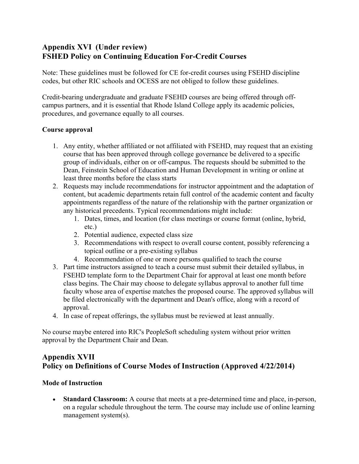# **Appendix XVI (Under review) FSHED Policy on Continuing Education For-Credit Courses**

Note: These guidelines must be followed for CE for-credit courses using FSEHD discipline codes, but other RIC schools and OCESS are not obliged to follow these guidelines.

Credit-bearing undergraduate and graduate FSEHD courses are being offered through offcampus partners, and it is essential that Rhode Island College apply its academic policies, procedures, and governance equally to all courses.

## **Course approval**

- 1. Any entity, whether affiliated or not affiliated with FSEHD, may request that an existing course that has been approved through college governance be delivered to a specific group of individuals, either on or off-campus. The requests should be submitted to the Dean, Feinstein School of Education and Human Development in writing or online at least three months before the class starts
- 2. Requests may include recommendations for instructor appointment and the adaptation of content, but academic departments retain full control of the academic content and faculty appointments regardless of the nature of the relationship with the partner organization or any historical precedents. Typical recommendations might include:
	- 1. Dates, times, and location (for class meetings or course format (online, hybrid, etc.)
	- 2. Potential audience, expected class size
	- 3. Recommendations with respect to overall course content, possibly referencing a topical outline or a pre-existing syllabus
	- 4. Recommendation of one or more persons qualified to teach the course
- 3. Part time instructors assigned to teach a course must submit their detailed syllabus, in FSEHD template form to the Department Chair for approval at least one month before class begins. The Chair may choose to delegate syllabus approval to another full time faculty whose area of expertise matches the proposed course. The approved syllabus will be filed electronically with the department and Dean's office, along with a record of approval.
- 4. In case of repeat offerings, the syllabus must be reviewed at least annually.

No course maybe entered into RIC's PeopleSoft scheduling system without prior written approval by the Department Chair and Dean.

# **Appendix XVII Policy on Definitions of Course Modes of Instruction (Approved 4/22/2014)**

### **Mode of Instruction**

• **Standard Classroom:** A course that meets at a pre-determined time and place, in-person, on a regular schedule throughout the term. The course may include use of online learning management system(s).